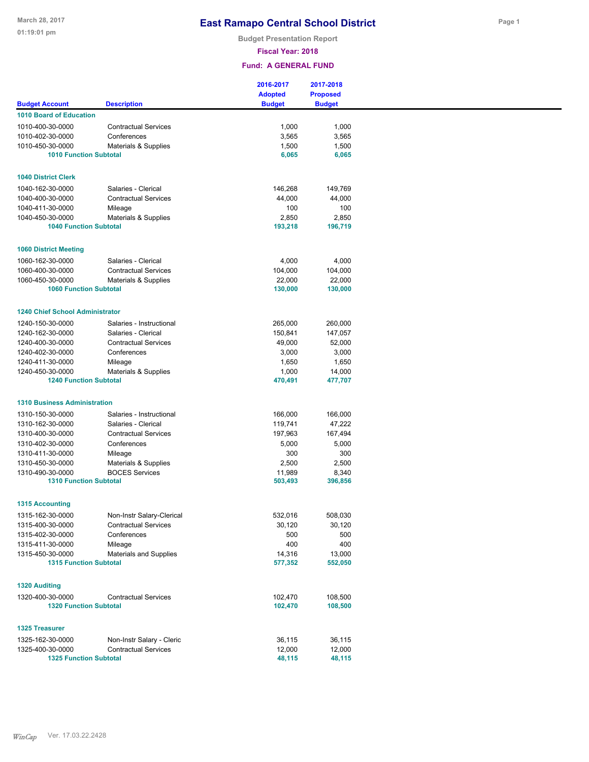**Budget Presentation Report**

**Fiscal Year: 2018**

|                                                   |                             | 2016-2017<br><b>Adopted</b> | 2017-2018<br><b>Proposed</b> |  |
|---------------------------------------------------|-----------------------------|-----------------------------|------------------------------|--|
| <b>Budget Account</b>                             | <b>Description</b>          | <b>Budget</b>               | <b>Budget</b>                |  |
| <b>1010 Board of Education</b>                    |                             |                             |                              |  |
| 1010-400-30-0000                                  | <b>Contractual Services</b> | 1,000                       | 1,000                        |  |
| 1010-402-30-0000                                  | Conferences                 | 3,565                       | 3,565                        |  |
| 1010-450-30-0000                                  | Materials & Supplies        | 1,500                       | 1,500                        |  |
| <b>1010 Function Subtotal</b>                     |                             | 6,065                       | 6,065                        |  |
| <b>1040 District Clerk</b>                        |                             |                             |                              |  |
| 1040-162-30-0000                                  | Salaries - Clerical         | 146,268                     | 149,769                      |  |
| 1040-400-30-0000                                  | <b>Contractual Services</b> | 44,000                      | 44,000                       |  |
| 1040-411-30-0000                                  | Mileage                     | 100                         | 100                          |  |
| 1040-450-30-0000                                  | Materials & Supplies        | 2,850                       | 2,850                        |  |
| <b>1040 Function Subtotal</b>                     |                             | 193,218                     | 196,719                      |  |
|                                                   |                             |                             |                              |  |
| <b>1060 District Meeting</b>                      |                             |                             |                              |  |
| 1060-162-30-0000                                  | Salaries - Clerical         | 4,000                       | 4,000                        |  |
| 1060-400-30-0000                                  | <b>Contractual Services</b> | 104,000                     | 104,000                      |  |
| 1060-450-30-0000                                  | Materials & Supplies        | 22,000                      | 22,000                       |  |
| <b>1060 Function Subtotal</b>                     |                             | 130,000                     | 130,000                      |  |
| <b>1240 Chief School Administrator</b>            |                             |                             |                              |  |
| 1240-150-30-0000                                  | Salaries - Instructional    | 265,000                     | 260,000                      |  |
| 1240-162-30-0000                                  | Salaries - Clerical         | 150,841                     | 147,057                      |  |
| 1240-400-30-0000                                  | <b>Contractual Services</b> | 49,000                      | 52,000                       |  |
| 1240-402-30-0000                                  | Conferences                 | 3,000                       | 3,000                        |  |
| 1240-411-30-0000                                  | Mileage                     | 1,650                       | 1,650                        |  |
| 1240-450-30-0000                                  | Materials & Supplies        | 1,000                       | 14,000                       |  |
| <b>1240 Function Subtotal</b>                     |                             | 470,491                     | 477,707                      |  |
| <b>1310 Business Administration</b>               |                             |                             |                              |  |
| 1310-150-30-0000                                  | Salaries - Instructional    | 166,000                     | 166,000                      |  |
| 1310-162-30-0000                                  | Salaries - Clerical         | 119,741                     | 47,222                       |  |
| 1310-400-30-0000                                  | <b>Contractual Services</b> | 197,963                     | 167,494                      |  |
| 1310-402-30-0000                                  | Conferences                 | 5,000                       | 5,000                        |  |
| 1310-411-30-0000                                  | Mileage                     | 300                         | 300                          |  |
| 1310-450-30-0000                                  | Materials & Supplies        | 2,500                       | 2,500                        |  |
| 1310-490-30-0000                                  | <b>BOCES Services</b>       | 11,989                      | 8,340                        |  |
| <b>1310 Function Subtotal</b>                     |                             | 503,493                     | 396,856                      |  |
| <b>1315 Accounting</b>                            |                             |                             |                              |  |
| 1315-162-30-0000                                  | Non-Instr Salary-Clerical   | 532,016                     | 508,030                      |  |
| 1315-400-30-0000                                  | <b>Contractual Services</b> | 30,120                      | 30,120                       |  |
| 1315-402-30-0000                                  | Conferences                 | 500                         | 500                          |  |
| 1315-411-30-0000                                  | Mileage                     | 400                         | 400                          |  |
| 1315-450-30-0000                                  | Materials and Supplies      | 14,316                      | 13,000                       |  |
| <b>1315 Function Subtotal</b>                     |                             | 577,352                     | 552,050                      |  |
| <b>1320 Auditing</b>                              |                             |                             |                              |  |
| 1320-400-30-0000                                  |                             |                             |                              |  |
| <b>1320 Function Subtotal</b>                     | <b>Contractual Services</b> | 102,470<br>102,470          | 108,500<br>108,500           |  |
|                                                   |                             |                             |                              |  |
| <b>1325 Treasurer</b>                             |                             |                             |                              |  |
| 1325-162-30-0000                                  | Non-Instr Salary - Cleric   | 36,115                      | 36,115                       |  |
| 1325-400-30-0000<br><b>1325 Function Subtotal</b> | <b>Contractual Services</b> | 12,000<br>48,115            | 12,000<br>48,115             |  |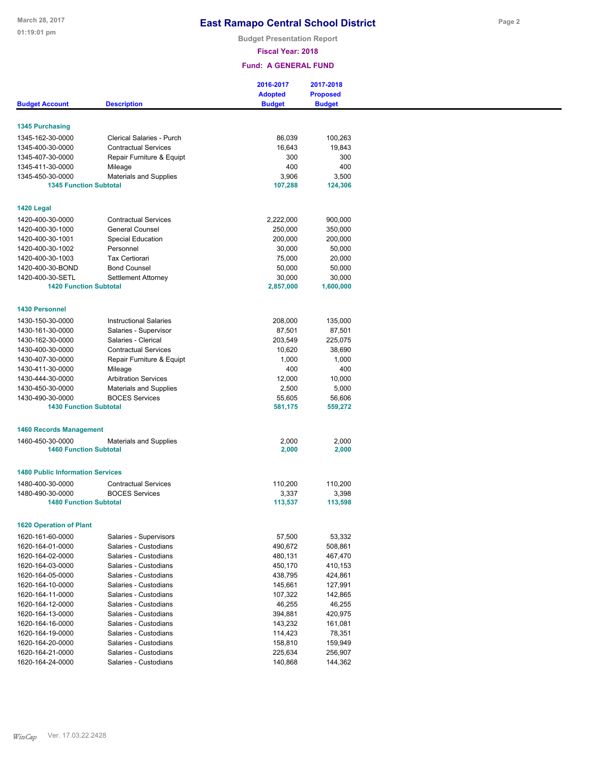**Budget Presentation Report**

#### **Fiscal Year: 2018**

|                                                   |                                                          | 2016-2017<br><b>Adopted</b> | 2017-2018<br><b>Proposed</b> |
|---------------------------------------------------|----------------------------------------------------------|-----------------------------|------------------------------|
| <b>Budget Account</b>                             | <b>Description</b>                                       | <b>Budget</b>               | <b>Budget</b>                |
| <b>1345 Purchasing</b>                            |                                                          |                             |                              |
|                                                   |                                                          |                             |                              |
| 1345-162-30-0000<br>1345-400-30-0000              | Clerical Salaries - Purch<br><b>Contractual Services</b> | 86,039                      | 100,263                      |
| 1345-407-30-0000                                  |                                                          | 16,643<br>300               | 19,843<br>300                |
| 1345-411-30-0000                                  | Repair Furniture & Equipt                                | 400                         | 400                          |
| 1345-450-30-0000                                  | Mileage                                                  | 3,906                       | 3,500                        |
| <b>1345 Function Subtotal</b>                     | <b>Materials and Supplies</b>                            | 107,288                     | 124,306                      |
|                                                   |                                                          |                             |                              |
| 1420 Legal                                        |                                                          |                             |                              |
| 1420-400-30-0000                                  | <b>Contractual Services</b>                              | 2,222,000                   | 900,000                      |
| 1420-400-30-1000                                  | <b>General Counsel</b>                                   | 250,000                     | 350,000                      |
| 1420-400-30-1001                                  | <b>Special Education</b>                                 | 200,000                     | 200,000                      |
| 1420-400-30-1002                                  | Personnel                                                | 30,000                      | 50,000                       |
| 1420-400-30-1003                                  | <b>Tax Certiorari</b>                                    | 75,000                      |                              |
| 1420-400-30-BOND                                  |                                                          |                             | 20,000                       |
|                                                   | <b>Bond Counsel</b>                                      | 50,000                      | 50,000                       |
| 1420-400-30-SETL<br><b>1420 Function Subtotal</b> | Settlement Attorney                                      | 30,000<br>2,857,000         | 30,000                       |
|                                                   |                                                          |                             | 1,600,000                    |
| <b>1430 Personnel</b>                             |                                                          |                             |                              |
| 1430-150-30-0000                                  | <b>Instructional Salaries</b>                            | 208,000                     | 135,000                      |
| 1430-161-30-0000                                  | Salaries - Supervisor                                    | 87,501                      | 87,501                       |
| 1430-162-30-0000                                  | Salaries - Clerical                                      | 203,549                     | 225,075                      |
|                                                   | <b>Contractual Services</b>                              | 10,620                      | 38,690                       |
| 1430-400-30-0000                                  |                                                          |                             |                              |
| 1430-407-30-0000                                  | Repair Furniture & Equipt                                | 1,000                       | 1,000                        |
| 1430-411-30-0000                                  | Mileage                                                  | 400                         | 400                          |
| 1430-444-30-0000                                  | <b>Arbitration Services</b>                              | 12,000                      | 10,000                       |
| 1430-450-30-0000                                  | <b>Materials and Supplies</b>                            | 2,500                       | 5,000                        |
| 1430-490-30-0000                                  | <b>BOCES Services</b>                                    | 55,605                      | 56,606                       |
| <b>1430 Function Subtotal</b>                     |                                                          | 581,175                     | 559,272                      |
| <b>1460 Records Management</b>                    |                                                          |                             |                              |
| 1460-450-30-0000                                  | <b>Materials and Supplies</b>                            | 2,000                       | 2,000                        |
| <b>1460 Function Subtotal</b>                     |                                                          | 2,000                       | 2,000                        |
|                                                   |                                                          |                             |                              |
| <b>1480 Public Information Services</b>           |                                                          |                             |                              |
| 1480-400-30-0000                                  | <b>Contractual Services</b>                              | 110,200                     | 110,200                      |
| 1480-490-30-0000                                  | <b>BOCES Services</b>                                    | 3,337                       | 3,398                        |
| <b>1480 Function Subtotal</b>                     |                                                          | 113,537                     | 113,598                      |
|                                                   |                                                          |                             |                              |
| <b>1620 Operation of Plant</b>                    |                                                          |                             |                              |
| 1620-161-60-0000                                  | Salaries - Supervisors                                   | 57,500                      | 53,332                       |
| 1620-164-01-0000                                  | Salaries - Custodians                                    | 490,672                     | 508,861                      |
| 1620-164-02-0000                                  | Salaries - Custodians                                    | 480,131                     | 467,470                      |
| 1620-164-03-0000                                  | Salaries - Custodians                                    | 450,170                     | 410,153                      |
| 1620-164-05-0000                                  | Salaries - Custodians                                    | 438,795                     | 424,861                      |
| 1620-164-10-0000                                  | Salaries - Custodians                                    | 145,661                     | 127,991                      |
| 1620-164-11-0000                                  | Salaries - Custodians                                    | 107,322                     | 142,865                      |
| 1620-164-12-0000                                  | Salaries - Custodians                                    | 46,255                      | 46,255                       |
| 1620-164-13-0000                                  | Salaries - Custodians                                    | 394,881                     | 420,975                      |
| 1620-164-16-0000                                  | Salaries - Custodians                                    | 143,232                     | 161,081                      |
|                                                   |                                                          |                             |                              |
| 1620-164-19-0000                                  | Salaries - Custodians                                    | 114,423                     | 78,351                       |
| 1620-164-20-0000                                  | Salaries - Custodians                                    | 158,810                     | 159,949                      |
| 1620-164-21-0000                                  | Salaries - Custodians                                    | 225,634                     | 256,907                      |
| 1620-164-24-0000                                  | Salaries - Custodians                                    | 140,868                     | 144,362                      |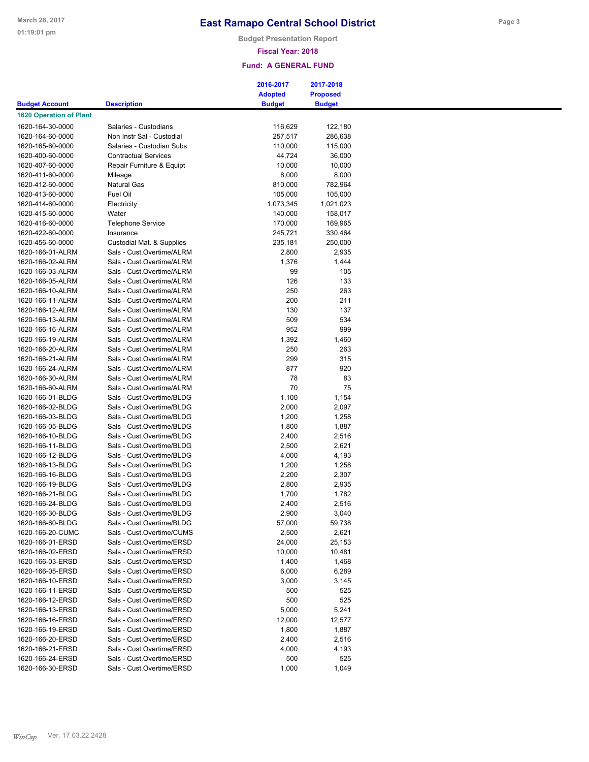**Budget Presentation Report**

### **Fiscal Year: 2018**

|                                |                             | 2016-2017      | 2017-2018       |
|--------------------------------|-----------------------------|----------------|-----------------|
|                                |                             | <b>Adopted</b> | <b>Proposed</b> |
| <b>Budget Account</b>          | <b>Description</b>          | <b>Budget</b>  | <b>Budget</b>   |
| <b>1620 Operation of Plant</b> |                             |                |                 |
| 1620-164-30-0000               | Salaries - Custodians       | 116,629        | 122,180         |
| 1620-164-60-0000               | Non Instr Sal - Custodial   |                |                 |
|                                |                             | 257,517        | 286,638         |
| 1620-165-60-0000               | Salaries - Custodian Subs   | 110,000        | 115,000         |
| 1620-400-60-0000               | <b>Contractual Services</b> | 44,724         | 36,000          |
| 1620-407-60-0000               | Repair Furniture & Equipt   | 10,000         | 10,000          |
| 1620-411-60-0000               | Mileage                     | 8,000          | 8,000           |
| 1620-412-60-0000               | <b>Natural Gas</b>          | 810,000        | 782,964         |
| 1620-413-60-0000               | Fuel Oil                    | 105,000        | 105,000         |
| 1620-414-60-0000               | Electricity                 | 1,073,345      | 1,021,023       |
| 1620-415-60-0000               | Water                       | 140,000        | 158,017         |
| 1620-416-60-0000               | <b>Telephone Service</b>    | 170,000        | 169,965         |
| 1620-422-60-0000               | Insurance                   | 245,721        | 330,464         |
| 1620-456-60-0000               | Custodial Mat. & Supplies   | 235,181        | 250,000         |
| 1620-166-01-ALRM               | Sals - Cust.Overtime/ALRM   | 2,800          | 2,935           |
|                                |                             |                |                 |
| 1620-166-02-ALRM               | Sals - Cust.Overtime/ALRM   | 1,376          | 1,444           |
| 1620-166-03-ALRM               | Sals - Cust.Overtime/ALRM   | 99             | 105             |
| 1620-166-05-ALRM               | Sals - Cust.Overtime/ALRM   | 126            | 133             |
| 1620-166-10-ALRM               | Sals - Cust.Overtime/ALRM   | 250            | 263             |
| 1620-166-11-ALRM               | Sals - Cust.Overtime/ALRM   | 200            | 211             |
| 1620-166-12-ALRM               | Sals - Cust.Overtime/ALRM   | 130            | 137             |
| 1620-166-13-ALRM               | Sals - Cust.Overtime/ALRM   | 509            | 534             |
| 1620-166-16-ALRM               | Sals - Cust.Overtime/ALRM   | 952            | 999             |
| 1620-166-19-ALRM               | Sals - Cust.Overtime/ALRM   |                |                 |
|                                |                             | 1,392          | 1,460           |
| 1620-166-20-ALRM               | Sals - Cust.Overtime/ALRM   | 250            | 263             |
| 1620-166-21-ALRM               | Sals - Cust.Overtime/ALRM   | 299            | 315             |
| 1620-166-24-ALRM               | Sals - Cust.Overtime/ALRM   | 877            | 920             |
| 1620-166-30-ALRM               | Sals - Cust.Overtime/ALRM   | 78             | 83              |
| 1620-166-60-ALRM               | Sals - Cust.Overtime/ALRM   | 70             | 75              |
| 1620-166-01-BLDG               | Sals - Cust.Overtime/BLDG   | 1,100          | 1,154           |
| 1620-166-02-BLDG               | Sals - Cust.Overtime/BLDG   | 2,000          | 2,097           |
| 1620-166-03-BLDG               | Sals - Cust.Overtime/BLDG   | 1,200          | 1,258           |
| 1620-166-05-BLDG               | Sals - Cust.Overtime/BLDG   | 1,800          | 1,887           |
|                                |                             |                |                 |
| 1620-166-10-BLDG               | Sals - Cust.Overtime/BLDG   | 2,400          | 2,516           |
| 1620-166-11-BLDG               | Sals - Cust.Overtime/BLDG   | 2,500          | 2,621           |
| 1620-166-12-BLDG               | Sals - Cust, Overtime/BLDG  | 4,000          | 4,193           |
| 1620-166-13-BLDG               | Sals - Cust.Overtime/BLDG   | 1,200          | 1,258           |
| 1620-166-16-BLDG               | Sals - Cust.Overtime/BLDG   | 2,200          | 2,307           |
| 1620-166-19-BLDG               | Sals - Cust.Overtime/BLDG   | 2,800          | 2,935           |
| 1620-166-21-BLDG               | Sals - Cust.Overtime/BLDG   | 1,700          | 1,782           |
| 1620-166-24-BLDG               | Sals - Cust.Overtime/BLDG   | 2,400          | 2,516           |
|                                |                             |                |                 |
| 1620-166-30-BLDG               | Sals - Cust.Overtime/BLDG   | 2,900          | 3,040           |
| 1620-166-60-BLDG               | Sals - Cust.Overtime/BLDG   | 57,000         | 59,738          |
| 1620-166-20-CUMC               | Sals - Cust.Overtime/CUMS   | 2,500          | 2,621           |
| 1620-166-01-ERSD               | Sals - Cust.Overtime/ERSD   | 24,000         | 25,153          |
| 1620-166-02-ERSD               | Sals - Cust.Overtime/ERSD   | 10,000         | 10,481          |
| 1620-166-03-ERSD               | Sals - Cust.Overtime/ERSD   | 1,400          | 1,468           |
| 1620-166-05-ERSD               | Sals - Cust.Overtime/ERSD   | 6,000          | 6,289           |
| 1620-166-10-ERSD               | Sals - Cust.Overtime/ERSD   | 3,000          | 3,145           |
| 1620-166-11-ERSD               | Sals - Cust.Overtime/ERSD   | 500            | 525             |
|                                |                             |                |                 |
| 1620-166-12-ERSD               | Sals - Cust.Overtime/ERSD   | 500            | 525             |
| 1620-166-13-ERSD               | Sals - Cust.Overtime/ERSD   | 5,000          | 5,241           |
| 1620-166-16-ERSD               | Sals - Cust.Overtime/ERSD   | 12,000         | 12,577          |
| 1620-166-19-ERSD               | Sals - Cust.Overtime/ERSD   | 1,800          | 1,887           |
| 1620-166-20-ERSD               | Sals - Cust.Overtime/ERSD   | 2,400          | 2,516           |
| 1620-166-21-ERSD               | Sals - Cust.Overtime/ERSD   | 4,000          | 4,193           |
| 1620-166-24-ERSD               | Sals - Cust.Overtime/ERSD   | 500            | 525             |
| 1620-166-30-ERSD               | Sals - Cust.Overtime/ERSD   | 1,000          | 1,049           |
|                                |                             |                |                 |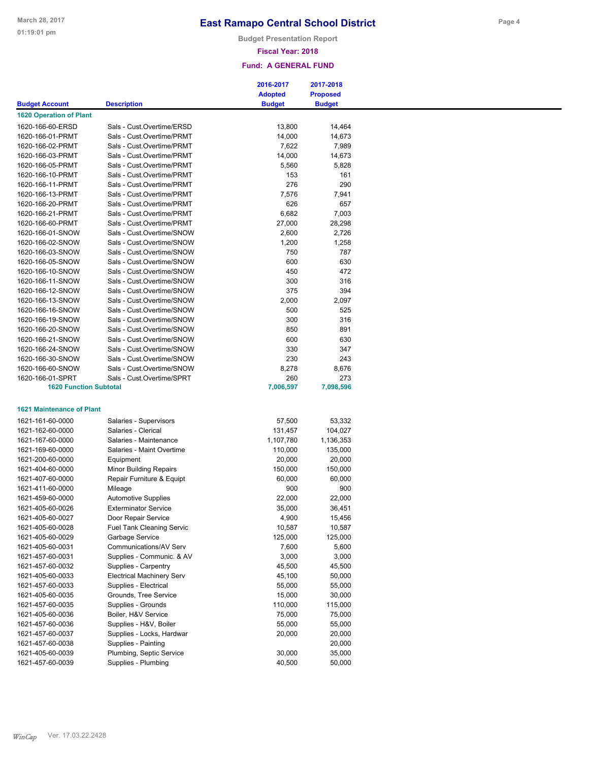**Budget Presentation Report**

#### **Fiscal Year: 2018**

|                                  |                                  | 2016-2017      | 2017-2018       |
|----------------------------------|----------------------------------|----------------|-----------------|
|                                  |                                  | <b>Adopted</b> | <b>Proposed</b> |
| <b>Budget Account</b>            | <b>Description</b>               | <b>Budget</b>  | <b>Budget</b>   |
| <b>1620 Operation of Plant</b>   |                                  |                |                 |
| 1620-166-60-ERSD                 | Sals - Cust.Overtime/ERSD        | 13,800         | 14,464          |
| 1620-166-01-PRMT                 | Sals - Cust.Overtime/PRMT        | 14,000         | 14,673          |
| 1620-166-02-PRMT                 | Sals - Cust.Overtime/PRMT        | 7,622          | 7,989           |
| 1620-166-03-PRMT                 | Sals - Cust.Overtime/PRMT        | 14,000         | 14,673          |
|                                  | Sals - Cust.Overtime/PRMT        |                | 5,828           |
| 1620-166-05-PRMT                 |                                  | 5,560          |                 |
| 1620-166-10-PRMT                 | Sals - Cust.Overtime/PRMT        | 153            | 161             |
| 1620-166-11-PRMT                 | Sals - Cust.Overtime/PRMT        | 276            | 290             |
| 1620-166-13-PRMT                 | Sals - Cust.Overtime/PRMT        | 7,576          | 7,941           |
| 1620-166-20-PRMT                 | Sals - Cust.Overtime/PRMT        | 626            | 657             |
| 1620-166-21-PRMT                 | Sals - Cust.Overtime/PRMT        | 6,682          | 7,003           |
| 1620-166-60-PRMT                 | Sals - Cust.Overtime/PRMT        | 27,000         | 28,298          |
| 1620-166-01-SNOW                 | Sals - Cust.Overtime/SNOW        | 2,600          | 2,726           |
| 1620-166-02-SNOW                 | Sals - Cust.Overtime/SNOW        | 1,200          | 1,258           |
| 1620-166-03-SNOW                 | Sals - Cust.Overtime/SNOW        | 750            | 787             |
| 1620-166-05-SNOW                 | Sals - Cust.Overtime/SNOW        | 600            | 630             |
| 1620-166-10-SNOW                 | Sals - Cust.Overtime/SNOW        | 450            | 472             |
| 1620-166-11-SNOW                 | Sals - Cust.Overtime/SNOW        | 300            | 316             |
|                                  |                                  |                |                 |
| 1620-166-12-SNOW                 | Sals - Cust.Overtime/SNOW        | 375            | 394             |
| 1620-166-13-SNOW                 | Sals - Cust.Overtime/SNOW        | 2,000          | 2,097           |
| 1620-166-16-SNOW                 | Sals - Cust.Overtime/SNOW        | 500            | 525             |
| 1620-166-19-SNOW                 | Sals - Cust.Overtime/SNOW        | 300            | 316             |
| 1620-166-20-SNOW                 | Sals - Cust.Overtime/SNOW        | 850            | 891             |
| 1620-166-21-SNOW                 | Sals - Cust.Overtime/SNOW        | 600            | 630             |
| 1620-166-24-SNOW                 | Sals - Cust.Overtime/SNOW        | 330            | 347             |
| 1620-166-30-SNOW                 | Sals - Cust.Overtime/SNOW        | 230            | 243             |
| 1620-166-60-SNOW                 | Sals - Cust.Overtime/SNOW        | 8,278          | 8,676           |
|                                  |                                  |                |                 |
| 1620-166-01-SPRT                 | Sals - Cust.Overtime/SPRT        | 260            | 273             |
| <b>1620 Function Subtotal</b>    |                                  | 7,006,597      | 7,098,596       |
| <b>1621 Maintenance of Plant</b> |                                  |                |                 |
| 1621-161-60-0000                 | Salaries - Supervisors           | 57,500         | 53,332          |
| 1621-162-60-0000                 | Salaries - Clerical              | 131,457        | 104,027         |
|                                  |                                  |                |                 |
| 1621-167-60-0000                 | Salaries - Maintenance           | 1,107,780      | 1,136,353       |
| 1621-169-60-0000                 | Salaries - Maint Overtime        | 110,000        | 135,000         |
| 1621-200-60-0000                 | Equipment                        | 20,000         | 20,000          |
| 1621-404-60-0000                 | <b>Minor Building Repairs</b>    | 150,000        | 150,000         |
| 1621-407-60-0000                 | Repair Furniture & Equipt        | 60,000         | 60,000          |
| 1621-411-60-0000                 | Mileage                          | 900            | 900             |
| 1621-459-60-0000                 | <b>Automotive Supplies</b>       | 22,000         | 22,000          |
| 1621-405-60-0026                 | <b>Exterminator Service</b>      | 35,000         | 36,451          |
|                                  |                                  |                |                 |
| 1621-405-60-0027                 | Door Repair Service              | 4,900          | 15,456          |
| 1621-405-60-0028                 | <b>Fuel Tank Cleaning Servic</b> | 10,587         | 10,587          |
| 1621-405-60-0029                 | Garbage Service                  | 125,000        | 125,000         |
| 1621-405-60-0031                 | Communications/AV Serv           | 7,600          | 5,600           |
| 1621-457-60-0031                 | Supplies - Communic. & AV        | 3,000          | 3,000           |
| 1621-457-60-0032                 | Supplies - Carpentry             | 45,500         | 45,500          |
| 1621-405-60-0033                 | <b>Electrical Machinery Serv</b> | 45,100         | 50,000          |
| 1621-457-60-0033                 | Supplies - Electrical            | 55,000         | 55,000          |
|                                  |                                  |                |                 |
| 1621-405-60-0035                 | Grounds, Tree Service            | 15,000         | 30,000          |
| 1621-457-60-0035                 | Supplies - Grounds               | 110,000        | 115,000         |
| 1621-405-60-0036                 | Boiler, H&V Service              | 75,000         | 75,000          |
| 1621-457-60-0036                 | Supplies - H&V, Boiler           | 55,000         | 55,000          |
| 1621-457-60-0037                 | Supplies - Locks, Hardwar        | 20,000         | 20,000          |
| 1621-457-60-0038                 | Supplies - Painting              |                | 20,000          |
| 1621-405-60-0039                 | Plumbing, Septic Service         | 30,000         | 35,000          |
| 1621-457-60-0039                 | Supplies - Plumbing              | 40,500         | 50,000          |
|                                  |                                  |                |                 |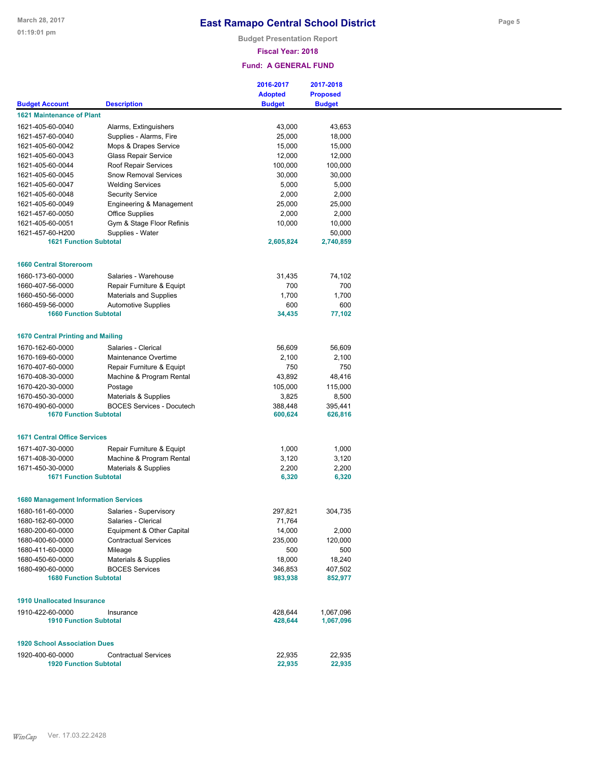**Budget Presentation Report**

### **Fiscal Year: 2018**

|                                                   |                                  | 2016-2017          | 2017-2018          |
|---------------------------------------------------|----------------------------------|--------------------|--------------------|
|                                                   |                                  | <b>Adopted</b>     | <b>Proposed</b>    |
| <b>Budget Account</b>                             | <b>Description</b>               | <b>Budget</b>      | <b>Budget</b>      |
| <b>1621 Maintenance of Plant</b>                  |                                  |                    |                    |
| 1621-405-60-0040                                  | Alarms, Extinguishers            | 43,000             | 43,653             |
| 1621-457-60-0040                                  | Supplies - Alarms, Fire          | 25,000             | 18,000             |
| 1621-405-60-0042                                  | Mops & Drapes Service            | 15,000             | 15,000             |
| 1621-405-60-0043                                  | Glass Repair Service             | 12,000             | 12,000             |
| 1621-405-60-0044                                  | Roof Repair Services             | 100,000            | 100,000            |
| 1621-405-60-0045                                  | <b>Snow Removal Services</b>     | 30,000             | 30,000             |
| 1621-405-60-0047                                  | <b>Welding Services</b>          | 5,000              | 5,000              |
| 1621-405-60-0048                                  | <b>Security Service</b>          | 2,000              | 2,000              |
| 1621-405-60-0049                                  | Engineering & Management         | 25,000             | 25,000             |
| 1621-457-60-0050                                  | <b>Office Supplies</b>           | 2,000              | 2,000              |
| 1621-405-60-0051                                  | Gym & Stage Floor Refinis        | 10,000             | 10,000             |
| 1621-457-60-H200                                  | Supplies - Water                 |                    | 50,000             |
| <b>1621 Function Subtotal</b>                     |                                  | 2,605,824          | 2,740,859          |
|                                                   |                                  |                    |                    |
| <b>1660 Central Storeroom</b>                     |                                  |                    |                    |
|                                                   | Salaries - Warehouse             |                    |                    |
| 1660-173-60-0000                                  |                                  | 31,435<br>700      | 74,102<br>700      |
| 1660-407-56-0000<br>1660-450-56-0000              | Repair Furniture & Equipt        | 1,700              | 1,700              |
| 1660-459-56-0000                                  | <b>Materials and Supplies</b>    | 600                | 600                |
| <b>1660 Function Subtotal</b>                     | <b>Automotive Supplies</b>       | 34,435             | 77,102             |
|                                                   |                                  |                    |                    |
| <b>1670 Central Printing and Mailing</b>          |                                  |                    |                    |
| 1670-162-60-0000                                  | Salaries - Clerical              | 56,609             | 56,609             |
| 1670-169-60-0000                                  | Maintenance Overtime             | 2,100              | 2,100              |
| 1670-407-60-0000                                  |                                  | 750                | 750                |
|                                                   | Repair Furniture & Equipt        |                    |                    |
| 1670-408-30-0000                                  | Machine & Program Rental         | 43,892             | 48,416             |
| 1670-420-30-0000                                  | Postage                          | 105,000<br>3,825   | 115,000<br>8,500   |
| 1670-450-30-0000                                  | Materials & Supplies             |                    |                    |
| 1670-490-60-0000<br><b>1670 Function Subtotal</b> | <b>BOCES Services - Docutech</b> | 388,448<br>600,624 | 395,441<br>626,816 |
|                                                   |                                  |                    |                    |
| <b>1671 Central Office Services</b>               |                                  |                    |                    |
| 1671-407-30-0000                                  | Repair Furniture & Equipt        | 1,000              | 1,000              |
| 1671-408-30-0000                                  | Machine & Program Rental         | 3,120              | 3,120              |
| 1671-450-30-0000                                  | Materials & Supplies             | 2,200              | 2,200              |
| <b>1671 Function Subtotal</b>                     |                                  | 6,320              | 6,320              |
|                                                   |                                  |                    |                    |
| <b>1680 Management Information Services</b>       |                                  |                    |                    |
| 1680-161-60-0000                                  | Salaries - Supervisory           | 297,821            | 304,735            |
| 1680-162-60-0000                                  | Salaries - Clerical              | 71,764             |                    |
| 1680-200-60-0000                                  | Equipment & Other Capital        | 14,000             | 2,000              |
| 1680-400-60-0000                                  | <b>Contractual Services</b>      | 235,000            | 120,000            |
| 1680-411-60-0000                                  | Mileage                          | 500                | 500                |
| 1680-450-60-0000                                  | Materials & Supplies             | 18,000             | 18,240             |
| 1680-490-60-0000                                  | <b>BOCES Services</b>            | 346,853            | 407,502            |
| <b>1680 Function Subtotal</b>                     |                                  | 983,938            | 852,977            |
|                                                   |                                  |                    |                    |
| <b>1910 Unallocated Insurance</b>                 |                                  |                    |                    |
| 1910-422-60-0000                                  | Insurance                        | 428.644            | 1,067,096          |
| <b>1910 Function Subtotal</b>                     |                                  | 428,644            | 1,067,096          |
|                                                   |                                  |                    |                    |
| <b>1920 School Association Dues</b>               |                                  |                    |                    |
| 1920-400-60-0000                                  | <b>Contractual Services</b>      | 22,935             | 22,935             |
| <b>1920 Function Subtotal</b>                     |                                  | 22,935             | 22,935             |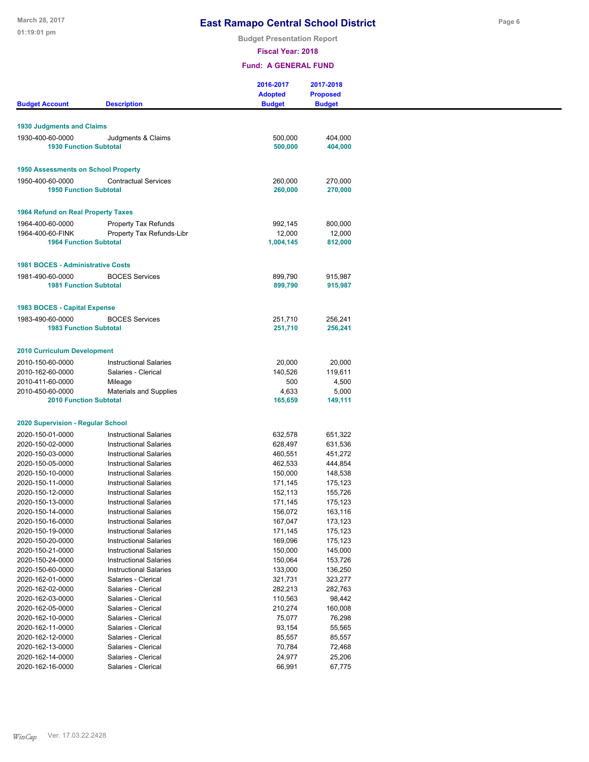**Budget Presentation Report**

**Fiscal Year: 2018**

|                                            |                                                                | 2016-2017<br><b>Adopted</b> | 2017-2018<br><b>Proposed</b> |  |
|--------------------------------------------|----------------------------------------------------------------|-----------------------------|------------------------------|--|
| <b>Budget Account</b>                      | <b>Description</b>                                             | <b>Budget</b>               | <b>Budget</b>                |  |
|                                            |                                                                |                             |                              |  |
| <b>1930 Judgments and Claims</b>           |                                                                |                             |                              |  |
| 1930-400-60-0000                           | Judgments & Claims                                             | 500,000                     | 404,000                      |  |
| <b>1930 Function Subtotal</b>              |                                                                | 500,000                     | 404,000                      |  |
|                                            |                                                                |                             |                              |  |
| <b>1950 Assessments on School Property</b> |                                                                |                             |                              |  |
| 1950-400-60-0000                           | <b>Contractual Services</b>                                    | 260,000                     | 270,000                      |  |
| <b>1950 Function Subtotal</b>              |                                                                | 260,000                     | 270,000                      |  |
| 1964 Refund on Real Property Taxes         |                                                                |                             |                              |  |
|                                            |                                                                |                             |                              |  |
| 1964-400-60-0000<br>1964-400-60-FINK       | <b>Property Tax Refunds</b><br>Property Tax Refunds-Libr       | 992,145<br>12,000           | 800,000<br>12,000            |  |
| <b>1964 Function Subtotal</b>              |                                                                | 1,004,145                   | 812,000                      |  |
|                                            |                                                                |                             |                              |  |
| <b>1981 BOCES - Administrative Costs</b>   |                                                                |                             |                              |  |
| 1981-490-60-0000                           | <b>BOCES Services</b>                                          | 899,790                     | 915.987                      |  |
| <b>1981 Function Subtotal</b>              |                                                                | 899,790                     | 915,987                      |  |
|                                            |                                                                |                             |                              |  |
| 1983 BOCES - Capital Expense               |                                                                |                             |                              |  |
| 1983-490-60-0000                           | <b>BOCES Services</b>                                          | 251,710                     | 256,241                      |  |
| <b>1983 Function Subtotal</b>              |                                                                | 251,710                     | 256,241                      |  |
|                                            |                                                                |                             |                              |  |
| <b>2010 Curriculum Development</b>         |                                                                |                             |                              |  |
| 2010-150-60-0000                           | <b>Instructional Salaries</b>                                  | 20,000                      | 20,000                       |  |
| 2010-162-60-0000<br>2010-411-60-0000       | Salaries - Clerical                                            | 140,526<br>500              | 119,611<br>4,500             |  |
| 2010-450-60-0000                           | Mileage<br><b>Materials and Supplies</b>                       | 4,633                       | 5,000                        |  |
| <b>2010 Function Subtotal</b>              |                                                                | 165,659                     | 149,111                      |  |
|                                            |                                                                |                             |                              |  |
| 2020 Supervision - Regular School          |                                                                |                             |                              |  |
| 2020-150-01-0000                           | <b>Instructional Salaries</b>                                  | 632,578                     | 651,322                      |  |
| 2020-150-02-0000                           | <b>Instructional Salaries</b>                                  | 628,497                     | 631,536                      |  |
| 2020-150-03-0000                           | <b>Instructional Salaries</b>                                  | 460,551                     | 451,272                      |  |
| 2020-150-05-0000                           | <b>Instructional Salaries</b>                                  | 462,533                     | 444,854                      |  |
| 2020-150-10-0000                           | <b>Instructional Salaries</b>                                  | 150,000                     | 148,538                      |  |
| 2020-150-11-0000                           | <b>Instructional Salaries</b><br><b>Instructional Salaries</b> | 171,145                     | 175,123                      |  |
| 2020-150-12-0000<br>2020-150-13-0000       | <b>Instructional Salaries</b>                                  | 152,113<br>171,145          | 155,726<br>175,123           |  |
| 2020-150-14-0000                           | <b>Instructional Salaries</b>                                  | 156,072                     | 163,116                      |  |
| 2020-150-16-0000                           | <b>Instructional Salaries</b>                                  | 167,047                     | 173,123                      |  |
| 2020-150-19-0000                           | <b>Instructional Salaries</b>                                  | 171,145                     | 175,123                      |  |
| 2020-150-20-0000                           | <b>Instructional Salaries</b>                                  | 169,096                     | 175,123                      |  |
| 2020-150-21-0000                           | <b>Instructional Salaries</b>                                  | 150,000                     | 145,000                      |  |
| 2020-150-24-0000                           | <b>Instructional Salaries</b>                                  | 150,064                     | 153,726                      |  |
| 2020-150-60-0000                           | <b>Instructional Salaries</b>                                  | 133,000                     | 136,250                      |  |
| 2020-162-01-0000                           | Salaries - Clerical                                            | 321,731                     | 323,277                      |  |
| 2020-162-02-0000                           | Salaries - Clerical<br>Salaries - Clerical                     | 282,213<br>110,563          | 282,763<br>98,442            |  |
| 2020-162-03-0000<br>2020-162-05-0000       | Salaries - Clerical                                            | 210,274                     | 160,008                      |  |
| 2020-162-10-0000                           | Salaries - Clerical                                            | 75,077                      | 76,298                       |  |
| 2020-162-11-0000                           | Salaries - Clerical                                            | 93,154                      | 55,565                       |  |
| 2020-162-12-0000                           | Salaries - Clerical                                            | 85,557                      | 85,557                       |  |
| 2020-162-13-0000                           | Salaries - Clerical                                            | 70,784                      | 72,468                       |  |
| 2020-162-14-0000                           | Salaries - Clerical                                            | 24,977                      | 25,206                       |  |
| 2020-162-16-0000                           | Salaries - Clerical                                            | 66,991                      | 67,775                       |  |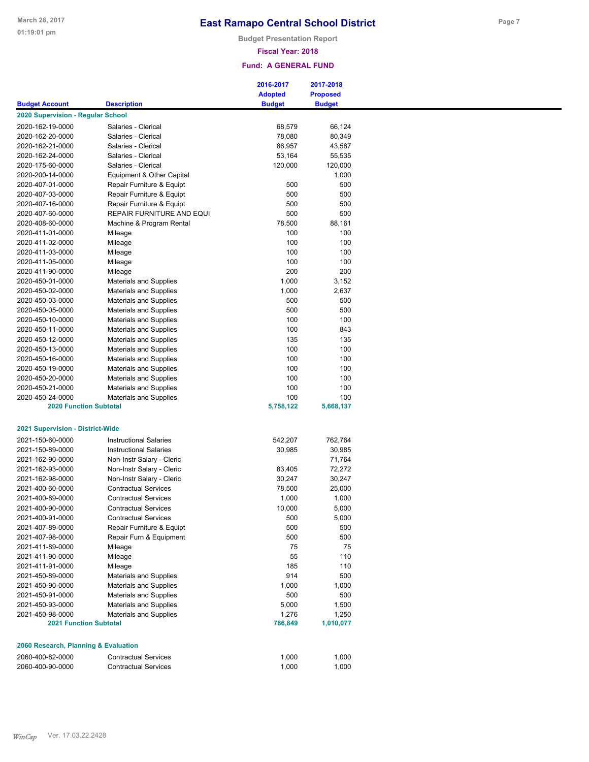**Budget Presentation Report**

### **Fiscal Year: 2018**

|                                         |                               | 2016-2017<br><b>Adopted</b> | 2017-2018<br><b>Proposed</b> |
|-----------------------------------------|-------------------------------|-----------------------------|------------------------------|
| <b>Budget Account</b>                   | <b>Description</b>            | <b>Budget</b>               | <b>Budget</b>                |
| 2020 Supervision - Regular School       |                               |                             |                              |
|                                         |                               |                             |                              |
| 2020-162-19-0000                        | Salaries - Clerical           | 68,579                      | 66,124                       |
| 2020-162-20-0000                        | Salaries - Clerical           | 78,080                      | 80,349                       |
| 2020-162-21-0000                        | Salaries - Clerical           | 86,957                      | 43,587                       |
| 2020-162-24-0000                        | Salaries - Clerical           | 53,164                      | 55,535                       |
| 2020-175-60-0000                        | Salaries - Clerical           | 120,000                     | 120,000                      |
| 2020-200-14-0000                        | Equipment & Other Capital     |                             | 1,000                        |
| 2020-407-01-0000                        | Repair Furniture & Equipt     | 500                         | 500                          |
| 2020-407-03-0000                        | Repair Furniture & Equipt     | 500                         | 500                          |
| 2020-407-16-0000                        | Repair Furniture & Equipt     | 500                         | 500                          |
| 2020-407-60-0000                        | REPAIR FURNITURE AND EQUI     | 500                         | 500                          |
| 2020-408-60-0000                        | Machine & Program Rental      | 78,500                      | 88,161                       |
| 2020-411-01-0000                        | Mileage                       | 100                         | 100                          |
| 2020-411-02-0000                        | Mileage                       | 100                         | 100                          |
| 2020-411-03-0000                        | Mileage                       | 100                         | 100                          |
|                                         |                               |                             |                              |
| 2020-411-05-0000                        | Mileage                       | 100                         | 100                          |
| 2020-411-90-0000                        | Mileage                       | 200                         | 200                          |
| 2020-450-01-0000                        | <b>Materials and Supplies</b> | 1,000                       | 3,152                        |
| 2020-450-02-0000                        | <b>Materials and Supplies</b> | 1,000                       | 2,637                        |
| 2020-450-03-0000                        | <b>Materials and Supplies</b> | 500                         | 500                          |
| 2020-450-05-0000                        | Materials and Supplies        | 500                         | 500                          |
| 2020-450-10-0000                        | <b>Materials and Supplies</b> | 100                         | 100                          |
| 2020-450-11-0000                        | <b>Materials and Supplies</b> | 100                         | 843                          |
| 2020-450-12-0000                        | <b>Materials and Supplies</b> | 135                         | 135                          |
| 2020-450-13-0000                        | <b>Materials and Supplies</b> | 100                         | 100                          |
|                                         |                               | 100                         | 100                          |
| 2020-450-16-0000                        | <b>Materials and Supplies</b> |                             |                              |
| 2020-450-19-0000                        | <b>Materials and Supplies</b> | 100                         | 100                          |
| 2020-450-20-0000                        | <b>Materials and Supplies</b> | 100                         | 100                          |
| 2020-450-21-0000                        | <b>Materials and Supplies</b> | 100                         | 100                          |
| 2020-450-24-0000                        | <b>Materials and Supplies</b> | 100                         | 100                          |
| <b>2020 Function Subtotal</b>           |                               | 5,758,122                   | 5,668,137                    |
|                                         |                               |                             |                              |
| <b>2021 Supervision - District-Wide</b> |                               |                             |                              |
| 2021-150-60-0000                        | <b>Instructional Salaries</b> | 542,207                     | 762,764                      |
| 2021-150-89-0000                        | <b>Instructional Salaries</b> |                             |                              |
|                                         |                               | 30,985                      | 30,985                       |
| 2021-162-90-0000                        | Non-Instr Salary - Cleric     |                             | 71,764                       |
| 2021-162-93-0000                        | Non-Instr Salary - Cleric     | 83,405                      | 72,272                       |
| 2021-162-98-0000                        | Non-Instr Salary - Cleric     | 30,247                      | 30,247                       |
| 2021-400-60-0000                        | <b>Contractual Services</b>   | 78,500                      | 25,000                       |
| 2021-400-89-0000                        | <b>Contractual Services</b>   | 1,000                       | 1,000                        |
| 2021-400-90-0000                        | <b>Contractual Services</b>   | 10,000                      | 5,000                        |
| 2021-400-91-0000                        | <b>Contractual Services</b>   | 500                         | 5,000                        |
| 2021-407-89-0000                        | Repair Furniture & Equipt     | 500                         | 500                          |
| 2021-407-98-0000                        |                               | 500                         | 500                          |
|                                         | Repair Furn & Equipment       |                             |                              |
| 2021-411-89-0000                        | Mileage                       | 75                          | 75                           |
| 2021-411-90-0000                        | Mileage                       | 55                          | 110                          |
| 2021-411-91-0000                        | Mileage                       | 185                         | 110                          |
| 2021-450-89-0000                        | Materials and Supplies        | 914                         | 500                          |
| 2021-450-90-0000                        | <b>Materials and Supplies</b> | 1,000                       | 1,000                        |
| 2021-450-91-0000                        | <b>Materials and Supplies</b> | 500                         | 500                          |
| 2021-450-93-0000                        | <b>Materials and Supplies</b> | 5,000                       | 1,500                        |
| 2021-450-98-0000                        | <b>Materials and Supplies</b> | 1,276                       | 1,250                        |
| <b>2021 Function Subtotal</b>           |                               | 786,849                     | 1,010,077                    |
|                                         |                               |                             |                              |
|                                         |                               |                             |                              |
| 2060 Research, Planning & Evaluation    |                               |                             |                              |
| 2060-400-82-0000                        | <b>Contractual Services</b>   | 1,000                       | 1,000                        |
| 2060-400-90-0000                        | <b>Contractual Services</b>   | 1,000                       | 1,000                        |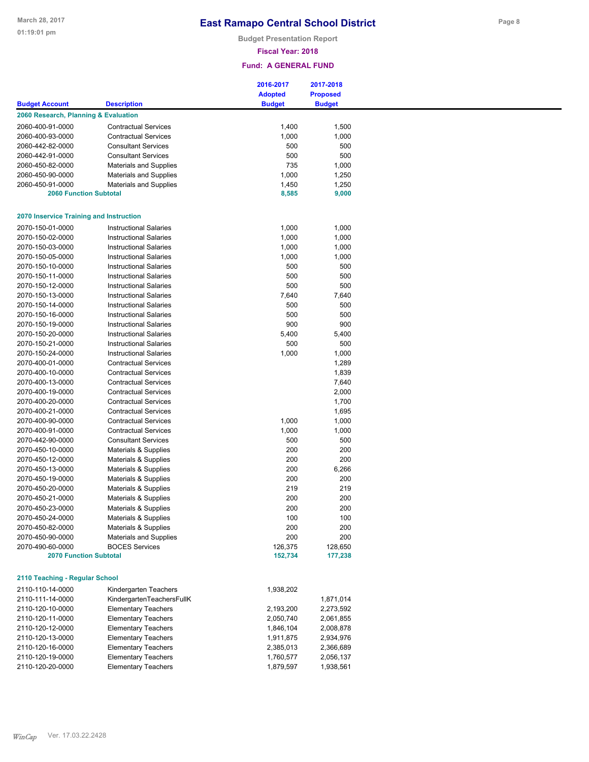**Budget Presentation Report**

### **Fiscal Year: 2018**

|                                                |                               | 2016-2017      | 2017-2018       |
|------------------------------------------------|-------------------------------|----------------|-----------------|
|                                                |                               | <b>Adopted</b> | <b>Proposed</b> |
| <b>Budget Account</b>                          | <b>Description</b>            | <b>Budget</b>  | <b>Budget</b>   |
| 2060 Research, Planning & Evaluation           |                               |                |                 |
| 2060-400-91-0000                               | <b>Contractual Services</b>   | 1,400          | 1,500           |
| 2060-400-93-0000                               | <b>Contractual Services</b>   | 1,000          | 1,000           |
| 2060-442-82-0000                               | <b>Consultant Services</b>    | 500            | 500             |
| 2060-442-91-0000                               | <b>Consultant Services</b>    | 500            | 500             |
| 2060-450-82-0000                               | <b>Materials and Supplies</b> | 735            | 1,000           |
|                                                |                               |                |                 |
| 2060-450-90-0000                               | <b>Materials and Supplies</b> | 1,000          | 1,250           |
| 2060-450-91-0000                               | Materials and Supplies        | 1,450          | 1,250           |
| <b>2060 Function Subtotal</b>                  |                               | 8,585          | 9,000           |
| <b>2070 Inservice Training and Instruction</b> |                               |                |                 |
| 2070-150-01-0000                               | <b>Instructional Salaries</b> | 1,000          | 1,000           |
| 2070-150-02-0000                               | <b>Instructional Salaries</b> | 1,000          | 1,000           |
| 2070-150-03-0000                               | <b>Instructional Salaries</b> | 1,000          | 1,000           |
|                                                |                               |                |                 |
| 2070-150-05-0000                               | <b>Instructional Salaries</b> | 1,000          | 1,000           |
| 2070-150-10-0000                               | <b>Instructional Salaries</b> | 500            | 500             |
| 2070-150-11-0000                               | <b>Instructional Salaries</b> | 500            | 500             |
| 2070-150-12-0000                               | <b>Instructional Salaries</b> | 500            | 500             |
| 2070-150-13-0000                               | <b>Instructional Salaries</b> | 7,640          | 7,640           |
| 2070-150-14-0000                               | <b>Instructional Salaries</b> | 500            | 500             |
| 2070-150-16-0000                               | <b>Instructional Salaries</b> | 500            | 500             |
| 2070-150-19-0000                               | <b>Instructional Salaries</b> | 900            | 900             |
|                                                |                               |                |                 |
| 2070-150-20-0000                               | <b>Instructional Salaries</b> | 5,400          | 5,400           |
| 2070-150-21-0000                               | <b>Instructional Salaries</b> | 500            | 500             |
| 2070-150-24-0000                               | <b>Instructional Salaries</b> | 1,000          | 1,000           |
| 2070-400-01-0000                               | <b>Contractual Services</b>   |                | 1,289           |
| 2070-400-10-0000                               | <b>Contractual Services</b>   |                | 1,839           |
| 2070-400-13-0000                               | <b>Contractual Services</b>   |                | 7,640           |
| 2070-400-19-0000                               | <b>Contractual Services</b>   |                | 2,000           |
| 2070-400-20-0000                               | <b>Contractual Services</b>   |                | 1,700           |
| 2070-400-21-0000                               | <b>Contractual Services</b>   |                | 1,695           |
|                                                |                               |                |                 |
| 2070-400-90-0000                               | <b>Contractual Services</b>   | 1,000          | 1,000           |
| 2070-400-91-0000                               | <b>Contractual Services</b>   | 1,000          | 1,000           |
| 2070-442-90-0000                               | <b>Consultant Services</b>    | 500            | 500             |
| 2070-450-10-0000                               | Materials & Supplies          | 200            | 200             |
| 2070-450-12-0000                               | Materials & Supplies          | 200            | 200             |
| 2070-450-13-0000                               | Materials & Supplies          | 200            | 6,266           |
| 2070-450-19-0000                               | Materials & Supplies          | 200            | 200             |
| 2070-450-20-0000                               | Materials & Supplies          | 219            | 219             |
| 2070-450-21-0000                               | Materials & Supplies          | 200            | 200             |
|                                                |                               |                |                 |
| 2070-450-23-0000                               | Materials & Supplies          | 200            | 200             |
| 2070-450-24-0000                               | Materials & Supplies          | 100            | 100             |
| 2070-450-82-0000                               | Materials & Supplies          | 200            | 200             |
| 2070-450-90-0000                               | <b>Materials and Supplies</b> | 200            | 200             |
| 2070-490-60-0000                               | <b>BOCES Services</b>         | 126,375        | 128,650         |
| <b>2070 Function Subtotal</b>                  |                               | 152,734        | 177,238         |
| 2110 Teaching - Regular School                 |                               |                |                 |
|                                                |                               |                |                 |
| 2110-110-14-0000                               | Kindergarten Teachers         | 1,938,202      |                 |
| 2110-111-14-0000                               | KindergartenTeachersFullK     |                | 1,871,014       |
| 2110-120-10-0000                               | <b>Elementary Teachers</b>    | 2,193,200      | 2,273,592       |
| 2110-120-11-0000                               | <b>Elementary Teachers</b>    | 2,050,740      | 2,061,855       |
| 2110-120-12-0000                               | <b>Elementary Teachers</b>    | 1,846,104      | 2,008,878       |
| 2110-120-13-0000                               | <b>Elementary Teachers</b>    | 1,911,875      | 2,934,976       |
|                                                |                               |                |                 |
| 2110-120-16-0000                               | <b>Elementary Teachers</b>    | 2,385,013      | 2,366,689       |
| 2110-120-19-0000                               | <b>Elementary Teachers</b>    | 1,760,577      | 2,056,137       |
| 2110-120-20-0000                               | <b>Elementary Teachers</b>    | 1,879,597      | 1,938,561       |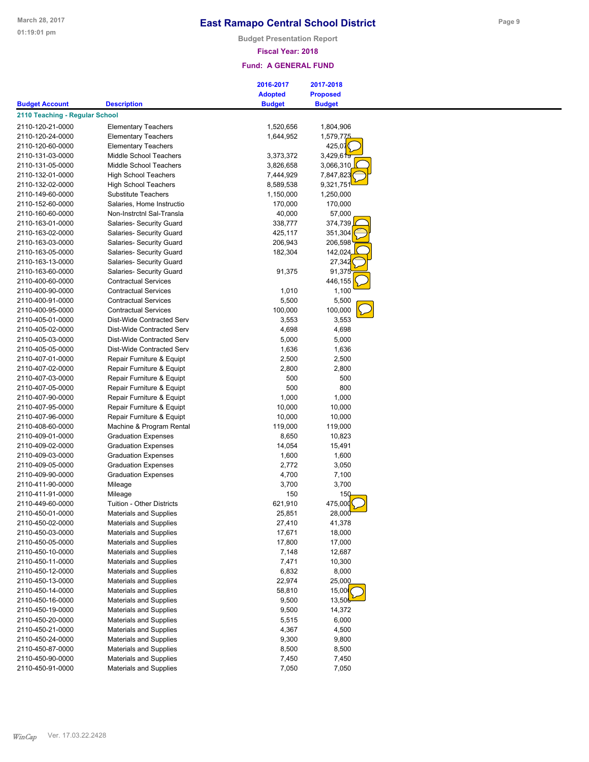**Budget Presentation Report**

### **Fiscal Year: 2018**

|                                |                                  | 2016-2017      | 2017-2018             |
|--------------------------------|----------------------------------|----------------|-----------------------|
|                                |                                  | <b>Adopted</b> | <b>Proposed</b>       |
| <b>Budget Account</b>          | <b>Description</b>               | <b>Budget</b>  | <b>Budget</b>         |
| 2110 Teaching - Regular School |                                  |                |                       |
| 2110-120-21-0000               | <b>Elementary Teachers</b>       | 1,520,656      | 1,804,906             |
| 2110-120-24-0000               | <b>Elementary Teachers</b>       | 1,644,952      | 1,579,775             |
| 2110-120-60-0000               | <b>Elementary Teachers</b>       |                | 425,07                |
| 2110-131-03-0000               | Middle School Teachers           | 3,373,372      | 3,429,61 <del>9</del> |
| 2110-131-05-0000               | Middle School Teachers           | 3,826,658      | 3,066,310             |
| 2110-132-01-0000               | <b>High School Teachers</b>      | 7,444,929      | 7,847,823             |
| 2110-132-02-0000               | <b>High School Teachers</b>      |                |                       |
|                                |                                  | 8,589,538      | 9,321,751             |
| 2110-149-60-0000               | <b>Substitute Teachers</b>       | 1,150,000      | 1,250,000             |
| 2110-152-60-0000               | Salaries, Home Instructio        | 170,000        | 170,000               |
| 2110-160-60-0000               | Non-Instrctnl Sal-Transla        | 40,000         | 57,000                |
| 2110-163-01-0000               | Salaries- Security Guard         | 338,777        | 374,739               |
| 2110-163-02-0000               | Salaries- Security Guard         | 425,117        | 351,304               |
| 2110-163-03-0000               | Salaries- Security Guard         | 206,943        | 206,598               |
| 2110-163-05-0000               | Salaries- Security Guard         | 182,304        | 142,024               |
| 2110-163-13-0000               | Salaries- Security Guard         |                | 27,342                |
| 2110-163-60-0000               | Salaries- Security Guard         | 91,375         | 91,375                |
| 2110-400-60-0000               | <b>Contractual Services</b>      |                | 446,155               |
| 2110-400-90-0000               | <b>Contractual Services</b>      | 1,010          | 1,100                 |
| 2110-400-91-0000               | <b>Contractual Services</b>      | 5,500          | 5,500                 |
| 2110-400-95-0000               | <b>Contractual Services</b>      | 100,000        | 100,000               |
| 2110-405-01-0000               | Dist-Wide Contracted Serv        | 3,553          | 3,553                 |
| 2110-405-02-0000               | Dist-Wide Contracted Serv        | 4,698          | 4,698                 |
| 2110-405-03-0000               | Dist-Wide Contracted Serv        | 5,000          | 5,000                 |
| 2110-405-05-0000               | Dist-Wide Contracted Serv        | 1,636          | 1,636                 |
| 2110-407-01-0000               | Repair Furniture & Equipt        | 2,500          | 2,500                 |
| 2110-407-02-0000               | Repair Furniture & Equipt        | 2,800          | 2,800                 |
| 2110-407-03-0000               | Repair Furniture & Equipt        | 500            | 500                   |
| 2110-407-05-0000               | Repair Furniture & Equipt        | 500            | 800                   |
| 2110-407-90-0000               | Repair Furniture & Equipt        | 1,000          | 1,000                 |
| 2110-407-95-0000               |                                  | 10,000         | 10,000                |
|                                | Repair Furniture & Equipt        |                |                       |
| 2110-407-96-0000               | Repair Furniture & Equipt        | 10,000         | 10,000                |
| 2110-408-60-0000               | Machine & Program Rental         | 119,000        | 119,000               |
| 2110-409-01-0000               | <b>Graduation Expenses</b>       | 8,650          | 10,823                |
| 2110-409-02-0000               | <b>Graduation Expenses</b>       | 14,054         | 15,491                |
| 2110-409-03-0000               | <b>Graduation Expenses</b>       | 1,600          | 1,600                 |
| 2110-409-05-0000               | <b>Graduation Expenses</b>       | 2,772          | 3,050                 |
| 2110-409-90-0000               | <b>Graduation Expenses</b>       | 4,700          | 7,100                 |
| 2110-411-90-0000               | Mileage                          | 3,700          | 3,700                 |
| 2110-411-91-0000               | Mileage                          | 150            | 150                   |
| 2110-449-60-0000               | <b>Tuition - Other Districts</b> | 621,910        | 475,000               |
| 2110-450-01-0000               | Materials and Supplies           | 25,851         | 28,000                |
| 2110-450-02-0000               | <b>Materials and Supplies</b>    | 27,410         | 41,378                |
| 2110-450-03-0000               | Materials and Supplies           | 17,671         | 18,000                |
| 2110-450-05-0000               | <b>Materials and Supplies</b>    | 17,800         | 17,000                |
| 2110-450-10-0000               | <b>Materials and Supplies</b>    | 7,148          | 12,687                |
| 2110-450-11-0000               | Materials and Supplies           | 7,471          | 10,300                |
| 2110-450-12-0000               | <b>Materials and Supplies</b>    | 6,832          | 8,000                 |
| 2110-450-13-0000               | Materials and Supplies           | 22,974         | 25,000                |
| 2110-450-14-0000               |                                  |                |                       |
|                                | Materials and Supplies           | 58,810         | 15,00                 |
| 2110-450-16-0000               | <b>Materials and Supplies</b>    | 9,500          | 13,506                |
| 2110-450-19-0000               | <b>Materials and Supplies</b>    | 9,500          | 14,372                |
| 2110-450-20-0000               | <b>Materials and Supplies</b>    | 5,515          | 6,000                 |
| 2110-450-21-0000               | Materials and Supplies           | 4,367          | 4,500                 |
| 2110-450-24-0000               | <b>Materials and Supplies</b>    | 9,300          | 9,800                 |
| 2110-450-87-0000               | <b>Materials and Supplies</b>    | 8,500          | 8,500                 |
| 2110-450-90-0000               | Materials and Supplies           | 7,450          | 7,450                 |
| 2110-450-91-0000               | Materials and Supplies           | 7,050          | 7,050                 |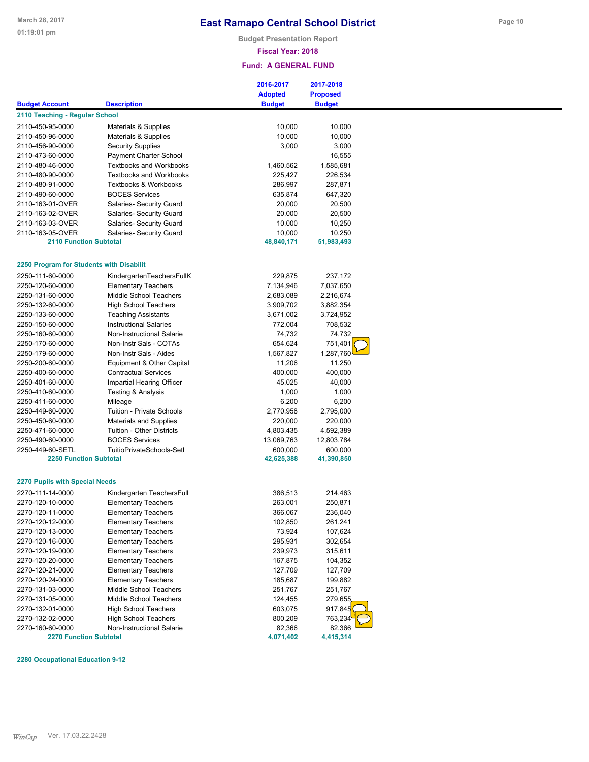**Budget Presentation Report**

#### **Fiscal Year: 2018**

### **Fund: A GENERAL FUND**

|                                          |                                  | 2016-2017      | 2017-2018       |  |
|------------------------------------------|----------------------------------|----------------|-----------------|--|
|                                          |                                  | <b>Adopted</b> | <b>Proposed</b> |  |
| <b>Budget Account</b>                    | <b>Description</b>               | <b>Budget</b>  | <b>Budget</b>   |  |
| 2110 Teaching - Regular School           |                                  |                |                 |  |
| 2110-450-95-0000                         | Materials & Supplies             | 10,000         | 10,000          |  |
| 2110-450-96-0000                         | Materials & Supplies             | 10,000         | 10,000          |  |
| 2110-456-90-0000                         | <b>Security Supplies</b>         | 3,000          | 3,000           |  |
| 2110-473-60-0000                         | <b>Payment Charter School</b>    |                | 16,555          |  |
| 2110-480-46-0000                         | <b>Textbooks and Workbooks</b>   | 1,460,562      | 1,585,681       |  |
| 2110-480-90-0000                         | <b>Textbooks and Workbooks</b>   | 225,427        | 226,534         |  |
| 2110-480-91-0000                         | <b>Textbooks &amp; Workbooks</b> | 286,997        | 287,871         |  |
| 2110-490-60-0000                         | <b>BOCES Services</b>            | 635,874        | 647,320         |  |
| 2110-163-01-OVER                         | Salaries- Security Guard         | 20,000         | 20,500          |  |
| 2110-163-02-OVER                         | Salaries- Security Guard         | 20,000         | 20,500          |  |
| 2110-163-03-OVER                         | Salaries- Security Guard         | 10,000         | 10,250          |  |
| 2110-163-05-OVER                         |                                  | 10,000         | 10,250          |  |
| <b>2110 Function Subtotal</b>            | Salaries- Security Guard         | 48,840,171     | 51,983,493      |  |
|                                          |                                  |                |                 |  |
| 2250 Program for Students with Disabilit |                                  |                |                 |  |
| 2250-111-60-0000                         | KindergartenTeachersFullK        | 229,875        | 237,172         |  |
| 2250-120-60-0000                         | <b>Elementary Teachers</b>       | 7,134,946      | 7,037,650       |  |
| 2250-131-60-0000                         | Middle School Teachers           | 2,683,089      | 2,216,674       |  |
| 2250-132-60-0000                         | <b>High School Teachers</b>      | 3,909,702      | 3,882,354       |  |
| 2250-133-60-0000                         | <b>Teaching Assistants</b>       | 3,671,002      | 3,724,952       |  |
| 2250-150-60-0000                         | <b>Instructional Salaries</b>    | 772,004        | 708,532         |  |
| 2250-160-60-0000                         | Non-Instructional Salarie        | 74,732         | 74,732          |  |
| 2250-170-60-0000                         | Non-Instr Sals - COTAs           | 654,624        | 751,401         |  |
| 2250-179-60-0000                         | Non-Instr Sals - Aides           | 1,567,827      | 1,287,760       |  |
|                                          |                                  |                |                 |  |
| 2250-200-60-0000                         | Equipment & Other Capital        | 11,206         | 11,250          |  |
| 2250-400-60-0000                         | <b>Contractual Services</b>      | 400,000        | 400,000         |  |
| 2250-401-60-0000                         | Impartial Hearing Officer        | 45,025         | 40,000          |  |
| 2250-410-60-0000                         | <b>Testing &amp; Analysis</b>    | 1,000          | 1,000           |  |
| 2250-411-60-0000                         | Mileage                          | 6,200          | 6,200           |  |
| 2250-449-60-0000                         | <b>Tuition - Private Schools</b> | 2,770,958      | 2,795,000       |  |
| 2250-450-60-0000                         | <b>Materials and Supplies</b>    | 220,000        | 220,000         |  |
| 2250-471-60-0000                         | Tuition - Other Districts        | 4,803,435      | 4,592,389       |  |
| 2250-490-60-0000                         | <b>BOCES Services</b>            | 13,069,763     | 12,803,784      |  |
| 2250-449-60-SETL                         | TuitioPrivateSchools-Setl        | 600,000        | 600,000         |  |
| <b>2250 Function Subtotal</b>            |                                  | 42,625,388     | 41,390,850      |  |
| <b>2270 Pupils with Special Needs</b>    |                                  |                |                 |  |
| 2270-111-14-0000                         | Kindergarten TeachersFull        | 386,513        | 214,463         |  |
| 2270-120-10-0000                         | <b>Elementary Teachers</b>       | 263,001        | 250,871         |  |
| 2270-120-11-0000                         | <b>Elementary Teachers</b>       | 366,067        | 236,040         |  |
| 2270-120-12-0000                         | <b>Elementary Teachers</b>       | 102,850        | 261,241         |  |
| 2270-120-13-0000                         | <b>Elementary Teachers</b>       | 73,924         | 107,624         |  |
| 2270-120-16-0000                         | <b>Elementary Teachers</b>       | 295,931        | 302,654         |  |
| 2270-120-19-0000                         | <b>Elementary Teachers</b>       | 239,973        | 315,611         |  |
|                                          | <b>Elementary Teachers</b>       |                |                 |  |
| 2270-120-20-0000<br>2270-120-21-0000     |                                  | 167,875        | 104,352         |  |
|                                          | <b>Elementary Teachers</b>       | 127,709        | 127,709         |  |
| 2270-120-24-0000                         | <b>Elementary Teachers</b>       | 185,687        | 199,882         |  |
| 2270-131-03-0000                         | Middle School Teachers           | 251,767        | 251,767         |  |
| 2270-131-05-0000                         | Middle School Teachers           | 124,455        | 279,655         |  |
| 2270-132-01-0000                         | <b>High School Teachers</b>      | 603,075        | 917,845         |  |
| 2270-132-02-0000                         | <b>High School Teachers</b>      | 800,209        | 763,234         |  |
| 2270-160-60-0000                         | Non-Instructional Salarie        | 82,366         | 82,366          |  |
| <b>2270 Function Subtotal</b>            |                                  | 4,071,402      | 4,415,314       |  |

**2280 Occupational Education 9-12**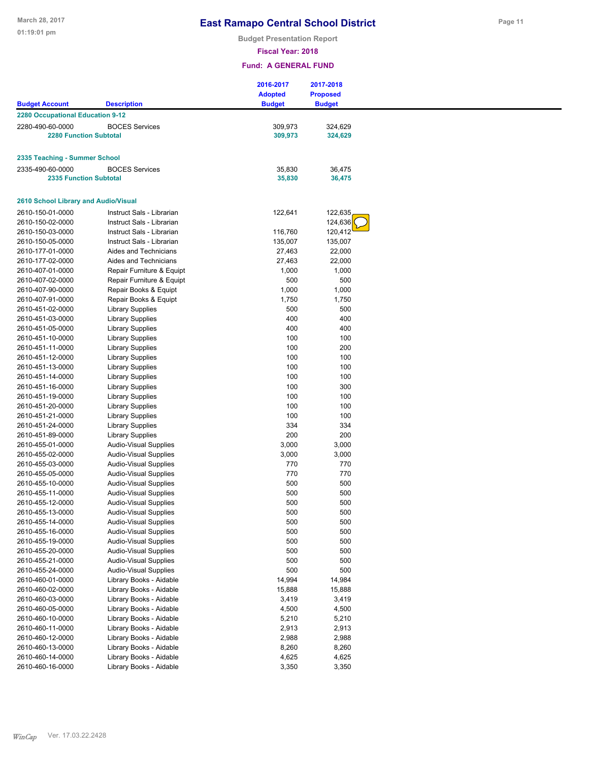**Budget Presentation Report**

**Page 11**

**Fiscal Year: 2018**

| <b>Budget Account</b>                | <b>Description</b>           | 2016-2017<br><b>Adopted</b><br><b>Budget</b> | 2017-2018<br><b>Proposed</b><br><b>Budget</b> |
|--------------------------------------|------------------------------|----------------------------------------------|-----------------------------------------------|
| 2280 Occupational Education 9-12     |                              |                                              |                                               |
|                                      |                              |                                              |                                               |
| 2280-490-60-0000                     | <b>BOCES Services</b>        | 309,973                                      | 324,629                                       |
| <b>2280 Function Subtotal</b>        |                              | 309,973                                      | 324,629                                       |
|                                      |                              |                                              |                                               |
| 2335 Teaching - Summer School        |                              |                                              |                                               |
| 2335-490-60-0000                     | <b>BOCES Services</b>        | 35,830                                       | 36,475                                        |
| <b>2335 Function Subtotal</b>        |                              | 35,830                                       | 36,475                                        |
|                                      |                              |                                              |                                               |
| 2610 School Library and Audio/Visual |                              |                                              |                                               |
| 2610-150-01-0000                     | Instruct Sals - Librarian    | 122,641                                      | 122,635                                       |
| 2610-150-02-0000                     | Instruct Sals - Librarian    |                                              | 124,636                                       |
| 2610-150-03-0000                     | Instruct Sals - Librarian    | 116,760                                      | 120,412                                       |
| 2610-150-05-0000                     | Instruct Sals - Librarian    | 135,007                                      | 135,007                                       |
| 2610-177-01-0000                     | Aides and Technicians        | 27,463                                       | 22,000                                        |
| 2610-177-02-0000                     | Aides and Technicians        | 27,463                                       | 22,000                                        |
| 2610-407-01-0000                     | Repair Furniture & Equipt    | 1,000                                        | 1,000                                         |
| 2610-407-02-0000                     | Repair Furniture & Equipt    | 500                                          | 500                                           |
| 2610-407-90-0000                     | Repair Books & Equipt        | 1,000                                        | 1,000                                         |
| 2610-407-91-0000                     | Repair Books & Equipt        | 1,750                                        | 1,750                                         |
|                                      |                              | 500                                          | 500                                           |
| 2610-451-02-0000                     | Library Supplies             |                                              | 400                                           |
| 2610-451-03-0000                     | <b>Library Supplies</b>      | 400                                          |                                               |
| 2610-451-05-0000                     | <b>Library Supplies</b>      | 400                                          | 400                                           |
| 2610-451-10-0000                     | <b>Library Supplies</b>      | 100                                          | 100                                           |
| 2610-451-11-0000                     | <b>Library Supplies</b>      | 100                                          | 200                                           |
| 2610-451-12-0000                     | <b>Library Supplies</b>      | 100                                          | 100                                           |
| 2610-451-13-0000                     | Library Supplies             | 100                                          | 100                                           |
| 2610-451-14-0000                     | <b>Library Supplies</b>      | 100                                          | 100                                           |
| 2610-451-16-0000                     | <b>Library Supplies</b>      | 100                                          | 300                                           |
| 2610-451-19-0000                     | Library Supplies             | 100                                          | 100                                           |
| 2610-451-20-0000                     | <b>Library Supplies</b>      | 100                                          | 100                                           |
| 2610-451-21-0000                     | <b>Library Supplies</b>      | 100                                          | 100                                           |
| 2610-451-24-0000                     | <b>Library Supplies</b>      | 334                                          | 334                                           |
| 2610-451-89-0000                     | <b>Library Supplies</b>      | 200                                          | 200                                           |
| 2610-455-01-0000                     | <b>Audio-Visual Supplies</b> | 3,000                                        | 3,000                                         |
| 2610-455-02-0000                     | Audio-Visual Supplies        | 3,000                                        | 3,000                                         |
| 2610-455-03-0000                     | Audio-Visual Supplies        | 770                                          | 770                                           |
| 2610-455-05-0000                     | <b>Audio-Visual Supplies</b> | 770                                          | 770                                           |
| 2610-455-10-0000                     | Audio-Visual Supplies        | 500                                          | 500                                           |
| 2610-455-11-0000                     | Audio-Visual Supplies        | 500                                          | 500                                           |
| 2610-455-12-0000                     | <b>Audio-Visual Supplies</b> | 500                                          | 500                                           |
| 2610-455-13-0000                     | Audio-Visual Supplies        | 500                                          | 500                                           |
| 2610-455-14-0000                     | <b>Audio-Visual Supplies</b> | 500                                          | 500                                           |
| 2610-455-16-0000                     | Audio-Visual Supplies        | 500                                          | 500                                           |
| 2610-455-19-0000                     | Audio-Visual Supplies        | 500                                          | 500                                           |
| 2610-455-20-0000                     | Audio-Visual Supplies        | 500                                          | 500                                           |
| 2610-455-21-0000                     | Audio-Visual Supplies        | 500                                          | 500                                           |
| 2610-455-24-0000                     | <b>Audio-Visual Supplies</b> | 500                                          | 500                                           |
| 2610-460-01-0000                     | Library Books - Aidable      | 14,994                                       | 14,984                                        |
| 2610-460-02-0000                     | Library Books - Aidable      | 15,888                                       | 15,888                                        |
| 2610-460-03-0000                     | Library Books - Aidable      | 3,419                                        | 3,419                                         |
| 2610-460-05-0000                     |                              |                                              | 4,500                                         |
|                                      | Library Books - Aidable      | 4,500                                        | 5,210                                         |
| 2610-460-10-0000<br>2610-460-11-0000 | Library Books - Aidable      | 5,210                                        |                                               |
|                                      | Library Books - Aidable      | 2,913                                        | 2,913                                         |
| 2610-460-12-0000                     | Library Books - Aidable      | 2,988                                        | 2,988                                         |
| 2610-460-13-0000                     | Library Books - Aidable      | 8,260                                        | 8,260                                         |
| 2610-460-14-0000                     | Library Books - Aidable      | 4,625                                        | 4,625                                         |
| 2610-460-16-0000                     | Library Books - Aidable      | 3,350                                        | 3,350                                         |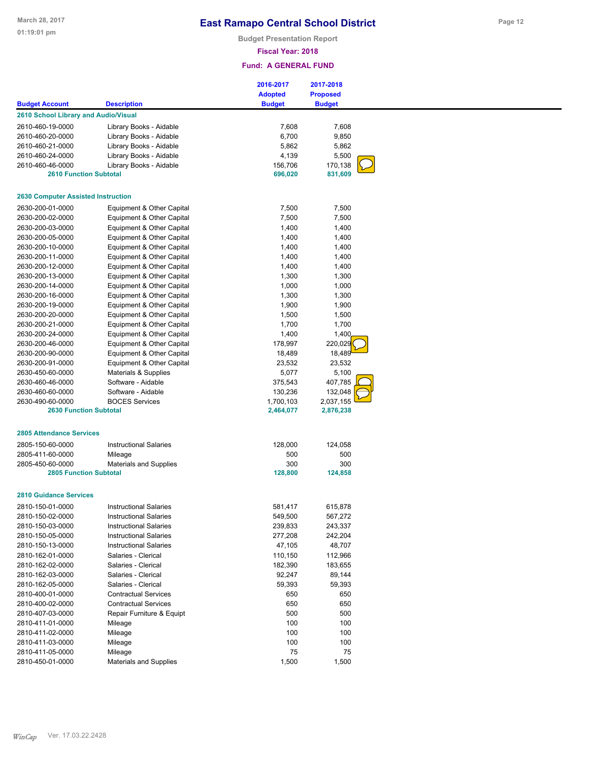**Budget Presentation Report**

### **Fiscal Year: 2018**

| <b>Adopted</b><br><b>Proposed</b><br><b>Budget</b><br><b>Budget</b><br><b>Description</b><br><b>2610 School Library and Audio/Visual</b><br>Library Books - Aidable<br>7,608<br>7,608<br>6,700<br>9,850<br>Library Books - Aidable<br>Library Books - Aidable<br>2610-460-21-0000<br>5,862<br>5,862<br>2610-460-24-0000<br>Library Books - Aidable<br>4,139<br>5,500<br>156,706<br>170,138<br>2610-460-46-0000<br>Library Books - Aidable<br>831,609<br><b>2610 Function Subtotal</b><br>696,020<br><b>2630 Computer Assisted Instruction</b><br>2630-200-01-0000<br>7,500<br>7,500<br>Equipment & Other Capital<br>7,500<br>2630-200-02-0000<br>Equipment & Other Capital<br>7,500<br>Equipment & Other Capital<br>1,400<br>1,400<br>Equipment & Other Capital<br>1,400<br>1,400<br>Equipment & Other Capital<br>1,400<br>1,400<br>Equipment & Other Capital<br>1,400<br>1,400<br>Equipment & Other Capital<br>1,400<br>1,400<br>Equipment & Other Capital<br>1,300<br>1,300<br>Equipment & Other Capital<br>1,000<br>1,000<br>Equipment & Other Capital<br>1,300<br>1,300<br>Equipment & Other Capital<br>1,900<br>1,900<br>Equipment & Other Capital<br>1,500<br>1,500<br>1,700<br>1,700<br>2630-200-21-0000<br>Equipment & Other Capital<br>1,400<br>1,400<br>2630-200-24-0000<br>Equipment & Other Capital<br>220,029<br>2630-200-46-0000<br>Equipment & Other Capital<br>178,997<br>18,489<br>2630-200-90-0000<br>Equipment & Other Capital<br>18,489<br>2630-200-91-0000<br>Equipment & Other Capital<br>23,532<br>23,532<br>5,077<br>5,100<br>2630-450-60-0000<br>Materials & Supplies<br>407,785<br>375,543<br>2630-460-46-0000<br>Software - Aidable<br>130,236<br>132,048<br>Software - Aidable<br>2630-460-60-0000<br>2630-490-60-0000<br><b>BOCES Services</b><br>1,700,103<br>2,037,155<br><b>2630 Function Subtotal</b><br>2,464,077<br>2,876,238<br><b>2805 Attendance Services</b><br><b>Instructional Salaries</b><br>128,000<br>124,058<br>500<br>500<br>Mileage<br>300<br>300<br>Materials and Supplies<br><b>2805 Function Subtotal</b><br>128,800<br>124,858<br><b>2810 Guidance Services</b><br>615,878<br>2810-150-01-0000<br><b>Instructional Salaries</b><br>581,417<br>2810-150-02-0000<br><b>Instructional Salaries</b><br>549,500<br>567,272<br>239,833<br>243,337<br>2810-150-03-0000<br><b>Instructional Salaries</b><br>242,204<br>2810-150-05-0000<br><b>Instructional Salaries</b><br>277,208<br>48,707<br>2810-150-13-0000<br><b>Instructional Salaries</b><br>47,105<br>110,150<br>112,966<br>Salaries - Clerical<br>Salaries - Clerical<br>182,390<br>183,655<br>Salaries - Clerical<br>92,247<br>89,144<br>59,393<br>59,393<br>Salaries - Clerical<br><b>Contractual Services</b><br>650<br>650<br><b>Contractual Services</b><br>650<br>650<br>500<br>500<br>Repair Furniture & Equipt<br>100<br>100<br>Mileage<br>100<br>100<br>Mileage<br>100<br>Mileage<br>100<br>75<br>75<br>2810-411-05-0000<br>Mileage |                       |                               | 2016-2017 | 2017-2018 |  |
|-----------------------------------------------------------------------------------------------------------------------------------------------------------------------------------------------------------------------------------------------------------------------------------------------------------------------------------------------------------------------------------------------------------------------------------------------------------------------------------------------------------------------------------------------------------------------------------------------------------------------------------------------------------------------------------------------------------------------------------------------------------------------------------------------------------------------------------------------------------------------------------------------------------------------------------------------------------------------------------------------------------------------------------------------------------------------------------------------------------------------------------------------------------------------------------------------------------------------------------------------------------------------------------------------------------------------------------------------------------------------------------------------------------------------------------------------------------------------------------------------------------------------------------------------------------------------------------------------------------------------------------------------------------------------------------------------------------------------------------------------------------------------------------------------------------------------------------------------------------------------------------------------------------------------------------------------------------------------------------------------------------------------------------------------------------------------------------------------------------------------------------------------------------------------------------------------------------------------------------------------------------------------------------------------------------------------------------------------------------------------------------------------------------------------------------------------------------------------------------------------------------------------------------------------------------------------------------------------------------------------------------------------------------------------------------------------------------------------------------------------------------------------------------------------------------------------------------------------------------------------------------------------------------------------------------------------------|-----------------------|-------------------------------|-----------|-----------|--|
|                                                                                                                                                                                                                                                                                                                                                                                                                                                                                                                                                                                                                                                                                                                                                                                                                                                                                                                                                                                                                                                                                                                                                                                                                                                                                                                                                                                                                                                                                                                                                                                                                                                                                                                                                                                                                                                                                                                                                                                                                                                                                                                                                                                                                                                                                                                                                                                                                                                                                                                                                                                                                                                                                                                                                                                                                                                                                                                                                     |                       |                               |           |           |  |
|                                                                                                                                                                                                                                                                                                                                                                                                                                                                                                                                                                                                                                                                                                                                                                                                                                                                                                                                                                                                                                                                                                                                                                                                                                                                                                                                                                                                                                                                                                                                                                                                                                                                                                                                                                                                                                                                                                                                                                                                                                                                                                                                                                                                                                                                                                                                                                                                                                                                                                                                                                                                                                                                                                                                                                                                                                                                                                                                                     | <b>Budget Account</b> |                               |           |           |  |
|                                                                                                                                                                                                                                                                                                                                                                                                                                                                                                                                                                                                                                                                                                                                                                                                                                                                                                                                                                                                                                                                                                                                                                                                                                                                                                                                                                                                                                                                                                                                                                                                                                                                                                                                                                                                                                                                                                                                                                                                                                                                                                                                                                                                                                                                                                                                                                                                                                                                                                                                                                                                                                                                                                                                                                                                                                                                                                                                                     |                       |                               |           |           |  |
|                                                                                                                                                                                                                                                                                                                                                                                                                                                                                                                                                                                                                                                                                                                                                                                                                                                                                                                                                                                                                                                                                                                                                                                                                                                                                                                                                                                                                                                                                                                                                                                                                                                                                                                                                                                                                                                                                                                                                                                                                                                                                                                                                                                                                                                                                                                                                                                                                                                                                                                                                                                                                                                                                                                                                                                                                                                                                                                                                     | 2610-460-19-0000      |                               |           |           |  |
|                                                                                                                                                                                                                                                                                                                                                                                                                                                                                                                                                                                                                                                                                                                                                                                                                                                                                                                                                                                                                                                                                                                                                                                                                                                                                                                                                                                                                                                                                                                                                                                                                                                                                                                                                                                                                                                                                                                                                                                                                                                                                                                                                                                                                                                                                                                                                                                                                                                                                                                                                                                                                                                                                                                                                                                                                                                                                                                                                     | 2610-460-20-0000      |                               |           |           |  |
|                                                                                                                                                                                                                                                                                                                                                                                                                                                                                                                                                                                                                                                                                                                                                                                                                                                                                                                                                                                                                                                                                                                                                                                                                                                                                                                                                                                                                                                                                                                                                                                                                                                                                                                                                                                                                                                                                                                                                                                                                                                                                                                                                                                                                                                                                                                                                                                                                                                                                                                                                                                                                                                                                                                                                                                                                                                                                                                                                     |                       |                               |           |           |  |
|                                                                                                                                                                                                                                                                                                                                                                                                                                                                                                                                                                                                                                                                                                                                                                                                                                                                                                                                                                                                                                                                                                                                                                                                                                                                                                                                                                                                                                                                                                                                                                                                                                                                                                                                                                                                                                                                                                                                                                                                                                                                                                                                                                                                                                                                                                                                                                                                                                                                                                                                                                                                                                                                                                                                                                                                                                                                                                                                                     |                       |                               |           |           |  |
|                                                                                                                                                                                                                                                                                                                                                                                                                                                                                                                                                                                                                                                                                                                                                                                                                                                                                                                                                                                                                                                                                                                                                                                                                                                                                                                                                                                                                                                                                                                                                                                                                                                                                                                                                                                                                                                                                                                                                                                                                                                                                                                                                                                                                                                                                                                                                                                                                                                                                                                                                                                                                                                                                                                                                                                                                                                                                                                                                     |                       |                               |           |           |  |
|                                                                                                                                                                                                                                                                                                                                                                                                                                                                                                                                                                                                                                                                                                                                                                                                                                                                                                                                                                                                                                                                                                                                                                                                                                                                                                                                                                                                                                                                                                                                                                                                                                                                                                                                                                                                                                                                                                                                                                                                                                                                                                                                                                                                                                                                                                                                                                                                                                                                                                                                                                                                                                                                                                                                                                                                                                                                                                                                                     |                       |                               |           |           |  |
|                                                                                                                                                                                                                                                                                                                                                                                                                                                                                                                                                                                                                                                                                                                                                                                                                                                                                                                                                                                                                                                                                                                                                                                                                                                                                                                                                                                                                                                                                                                                                                                                                                                                                                                                                                                                                                                                                                                                                                                                                                                                                                                                                                                                                                                                                                                                                                                                                                                                                                                                                                                                                                                                                                                                                                                                                                                                                                                                                     |                       |                               |           |           |  |
|                                                                                                                                                                                                                                                                                                                                                                                                                                                                                                                                                                                                                                                                                                                                                                                                                                                                                                                                                                                                                                                                                                                                                                                                                                                                                                                                                                                                                                                                                                                                                                                                                                                                                                                                                                                                                                                                                                                                                                                                                                                                                                                                                                                                                                                                                                                                                                                                                                                                                                                                                                                                                                                                                                                                                                                                                                                                                                                                                     |                       |                               |           |           |  |
|                                                                                                                                                                                                                                                                                                                                                                                                                                                                                                                                                                                                                                                                                                                                                                                                                                                                                                                                                                                                                                                                                                                                                                                                                                                                                                                                                                                                                                                                                                                                                                                                                                                                                                                                                                                                                                                                                                                                                                                                                                                                                                                                                                                                                                                                                                                                                                                                                                                                                                                                                                                                                                                                                                                                                                                                                                                                                                                                                     |                       |                               |           |           |  |
|                                                                                                                                                                                                                                                                                                                                                                                                                                                                                                                                                                                                                                                                                                                                                                                                                                                                                                                                                                                                                                                                                                                                                                                                                                                                                                                                                                                                                                                                                                                                                                                                                                                                                                                                                                                                                                                                                                                                                                                                                                                                                                                                                                                                                                                                                                                                                                                                                                                                                                                                                                                                                                                                                                                                                                                                                                                                                                                                                     |                       |                               |           |           |  |
|                                                                                                                                                                                                                                                                                                                                                                                                                                                                                                                                                                                                                                                                                                                                                                                                                                                                                                                                                                                                                                                                                                                                                                                                                                                                                                                                                                                                                                                                                                                                                                                                                                                                                                                                                                                                                                                                                                                                                                                                                                                                                                                                                                                                                                                                                                                                                                                                                                                                                                                                                                                                                                                                                                                                                                                                                                                                                                                                                     |                       |                               |           |           |  |
|                                                                                                                                                                                                                                                                                                                                                                                                                                                                                                                                                                                                                                                                                                                                                                                                                                                                                                                                                                                                                                                                                                                                                                                                                                                                                                                                                                                                                                                                                                                                                                                                                                                                                                                                                                                                                                                                                                                                                                                                                                                                                                                                                                                                                                                                                                                                                                                                                                                                                                                                                                                                                                                                                                                                                                                                                                                                                                                                                     | 2630-200-03-0000      |                               |           |           |  |
|                                                                                                                                                                                                                                                                                                                                                                                                                                                                                                                                                                                                                                                                                                                                                                                                                                                                                                                                                                                                                                                                                                                                                                                                                                                                                                                                                                                                                                                                                                                                                                                                                                                                                                                                                                                                                                                                                                                                                                                                                                                                                                                                                                                                                                                                                                                                                                                                                                                                                                                                                                                                                                                                                                                                                                                                                                                                                                                                                     | 2630-200-05-0000      |                               |           |           |  |
|                                                                                                                                                                                                                                                                                                                                                                                                                                                                                                                                                                                                                                                                                                                                                                                                                                                                                                                                                                                                                                                                                                                                                                                                                                                                                                                                                                                                                                                                                                                                                                                                                                                                                                                                                                                                                                                                                                                                                                                                                                                                                                                                                                                                                                                                                                                                                                                                                                                                                                                                                                                                                                                                                                                                                                                                                                                                                                                                                     | 2630-200-10-0000      |                               |           |           |  |
|                                                                                                                                                                                                                                                                                                                                                                                                                                                                                                                                                                                                                                                                                                                                                                                                                                                                                                                                                                                                                                                                                                                                                                                                                                                                                                                                                                                                                                                                                                                                                                                                                                                                                                                                                                                                                                                                                                                                                                                                                                                                                                                                                                                                                                                                                                                                                                                                                                                                                                                                                                                                                                                                                                                                                                                                                                                                                                                                                     | 2630-200-11-0000      |                               |           |           |  |
|                                                                                                                                                                                                                                                                                                                                                                                                                                                                                                                                                                                                                                                                                                                                                                                                                                                                                                                                                                                                                                                                                                                                                                                                                                                                                                                                                                                                                                                                                                                                                                                                                                                                                                                                                                                                                                                                                                                                                                                                                                                                                                                                                                                                                                                                                                                                                                                                                                                                                                                                                                                                                                                                                                                                                                                                                                                                                                                                                     | 2630-200-12-0000      |                               |           |           |  |
|                                                                                                                                                                                                                                                                                                                                                                                                                                                                                                                                                                                                                                                                                                                                                                                                                                                                                                                                                                                                                                                                                                                                                                                                                                                                                                                                                                                                                                                                                                                                                                                                                                                                                                                                                                                                                                                                                                                                                                                                                                                                                                                                                                                                                                                                                                                                                                                                                                                                                                                                                                                                                                                                                                                                                                                                                                                                                                                                                     | 2630-200-13-0000      |                               |           |           |  |
|                                                                                                                                                                                                                                                                                                                                                                                                                                                                                                                                                                                                                                                                                                                                                                                                                                                                                                                                                                                                                                                                                                                                                                                                                                                                                                                                                                                                                                                                                                                                                                                                                                                                                                                                                                                                                                                                                                                                                                                                                                                                                                                                                                                                                                                                                                                                                                                                                                                                                                                                                                                                                                                                                                                                                                                                                                                                                                                                                     | 2630-200-14-0000      |                               |           |           |  |
|                                                                                                                                                                                                                                                                                                                                                                                                                                                                                                                                                                                                                                                                                                                                                                                                                                                                                                                                                                                                                                                                                                                                                                                                                                                                                                                                                                                                                                                                                                                                                                                                                                                                                                                                                                                                                                                                                                                                                                                                                                                                                                                                                                                                                                                                                                                                                                                                                                                                                                                                                                                                                                                                                                                                                                                                                                                                                                                                                     | 2630-200-16-0000      |                               |           |           |  |
|                                                                                                                                                                                                                                                                                                                                                                                                                                                                                                                                                                                                                                                                                                                                                                                                                                                                                                                                                                                                                                                                                                                                                                                                                                                                                                                                                                                                                                                                                                                                                                                                                                                                                                                                                                                                                                                                                                                                                                                                                                                                                                                                                                                                                                                                                                                                                                                                                                                                                                                                                                                                                                                                                                                                                                                                                                                                                                                                                     | 2630-200-19-0000      |                               |           |           |  |
|                                                                                                                                                                                                                                                                                                                                                                                                                                                                                                                                                                                                                                                                                                                                                                                                                                                                                                                                                                                                                                                                                                                                                                                                                                                                                                                                                                                                                                                                                                                                                                                                                                                                                                                                                                                                                                                                                                                                                                                                                                                                                                                                                                                                                                                                                                                                                                                                                                                                                                                                                                                                                                                                                                                                                                                                                                                                                                                                                     | 2630-200-20-0000      |                               |           |           |  |
|                                                                                                                                                                                                                                                                                                                                                                                                                                                                                                                                                                                                                                                                                                                                                                                                                                                                                                                                                                                                                                                                                                                                                                                                                                                                                                                                                                                                                                                                                                                                                                                                                                                                                                                                                                                                                                                                                                                                                                                                                                                                                                                                                                                                                                                                                                                                                                                                                                                                                                                                                                                                                                                                                                                                                                                                                                                                                                                                                     |                       |                               |           |           |  |
|                                                                                                                                                                                                                                                                                                                                                                                                                                                                                                                                                                                                                                                                                                                                                                                                                                                                                                                                                                                                                                                                                                                                                                                                                                                                                                                                                                                                                                                                                                                                                                                                                                                                                                                                                                                                                                                                                                                                                                                                                                                                                                                                                                                                                                                                                                                                                                                                                                                                                                                                                                                                                                                                                                                                                                                                                                                                                                                                                     |                       |                               |           |           |  |
|                                                                                                                                                                                                                                                                                                                                                                                                                                                                                                                                                                                                                                                                                                                                                                                                                                                                                                                                                                                                                                                                                                                                                                                                                                                                                                                                                                                                                                                                                                                                                                                                                                                                                                                                                                                                                                                                                                                                                                                                                                                                                                                                                                                                                                                                                                                                                                                                                                                                                                                                                                                                                                                                                                                                                                                                                                                                                                                                                     |                       |                               |           |           |  |
|                                                                                                                                                                                                                                                                                                                                                                                                                                                                                                                                                                                                                                                                                                                                                                                                                                                                                                                                                                                                                                                                                                                                                                                                                                                                                                                                                                                                                                                                                                                                                                                                                                                                                                                                                                                                                                                                                                                                                                                                                                                                                                                                                                                                                                                                                                                                                                                                                                                                                                                                                                                                                                                                                                                                                                                                                                                                                                                                                     |                       |                               |           |           |  |
|                                                                                                                                                                                                                                                                                                                                                                                                                                                                                                                                                                                                                                                                                                                                                                                                                                                                                                                                                                                                                                                                                                                                                                                                                                                                                                                                                                                                                                                                                                                                                                                                                                                                                                                                                                                                                                                                                                                                                                                                                                                                                                                                                                                                                                                                                                                                                                                                                                                                                                                                                                                                                                                                                                                                                                                                                                                                                                                                                     |                       |                               |           |           |  |
|                                                                                                                                                                                                                                                                                                                                                                                                                                                                                                                                                                                                                                                                                                                                                                                                                                                                                                                                                                                                                                                                                                                                                                                                                                                                                                                                                                                                                                                                                                                                                                                                                                                                                                                                                                                                                                                                                                                                                                                                                                                                                                                                                                                                                                                                                                                                                                                                                                                                                                                                                                                                                                                                                                                                                                                                                                                                                                                                                     |                       |                               |           |           |  |
|                                                                                                                                                                                                                                                                                                                                                                                                                                                                                                                                                                                                                                                                                                                                                                                                                                                                                                                                                                                                                                                                                                                                                                                                                                                                                                                                                                                                                                                                                                                                                                                                                                                                                                                                                                                                                                                                                                                                                                                                                                                                                                                                                                                                                                                                                                                                                                                                                                                                                                                                                                                                                                                                                                                                                                                                                                                                                                                                                     |                       |                               |           |           |  |
|                                                                                                                                                                                                                                                                                                                                                                                                                                                                                                                                                                                                                                                                                                                                                                                                                                                                                                                                                                                                                                                                                                                                                                                                                                                                                                                                                                                                                                                                                                                                                                                                                                                                                                                                                                                                                                                                                                                                                                                                                                                                                                                                                                                                                                                                                                                                                                                                                                                                                                                                                                                                                                                                                                                                                                                                                                                                                                                                                     |                       |                               |           |           |  |
|                                                                                                                                                                                                                                                                                                                                                                                                                                                                                                                                                                                                                                                                                                                                                                                                                                                                                                                                                                                                                                                                                                                                                                                                                                                                                                                                                                                                                                                                                                                                                                                                                                                                                                                                                                                                                                                                                                                                                                                                                                                                                                                                                                                                                                                                                                                                                                                                                                                                                                                                                                                                                                                                                                                                                                                                                                                                                                                                                     |                       |                               |           |           |  |
|                                                                                                                                                                                                                                                                                                                                                                                                                                                                                                                                                                                                                                                                                                                                                                                                                                                                                                                                                                                                                                                                                                                                                                                                                                                                                                                                                                                                                                                                                                                                                                                                                                                                                                                                                                                                                                                                                                                                                                                                                                                                                                                                                                                                                                                                                                                                                                                                                                                                                                                                                                                                                                                                                                                                                                                                                                                                                                                                                     |                       |                               |           |           |  |
|                                                                                                                                                                                                                                                                                                                                                                                                                                                                                                                                                                                                                                                                                                                                                                                                                                                                                                                                                                                                                                                                                                                                                                                                                                                                                                                                                                                                                                                                                                                                                                                                                                                                                                                                                                                                                                                                                                                                                                                                                                                                                                                                                                                                                                                                                                                                                                                                                                                                                                                                                                                                                                                                                                                                                                                                                                                                                                                                                     |                       |                               |           |           |  |
|                                                                                                                                                                                                                                                                                                                                                                                                                                                                                                                                                                                                                                                                                                                                                                                                                                                                                                                                                                                                                                                                                                                                                                                                                                                                                                                                                                                                                                                                                                                                                                                                                                                                                                                                                                                                                                                                                                                                                                                                                                                                                                                                                                                                                                                                                                                                                                                                                                                                                                                                                                                                                                                                                                                                                                                                                                                                                                                                                     |                       |                               |           |           |  |
|                                                                                                                                                                                                                                                                                                                                                                                                                                                                                                                                                                                                                                                                                                                                                                                                                                                                                                                                                                                                                                                                                                                                                                                                                                                                                                                                                                                                                                                                                                                                                                                                                                                                                                                                                                                                                                                                                                                                                                                                                                                                                                                                                                                                                                                                                                                                                                                                                                                                                                                                                                                                                                                                                                                                                                                                                                                                                                                                                     |                       |                               |           |           |  |
|                                                                                                                                                                                                                                                                                                                                                                                                                                                                                                                                                                                                                                                                                                                                                                                                                                                                                                                                                                                                                                                                                                                                                                                                                                                                                                                                                                                                                                                                                                                                                                                                                                                                                                                                                                                                                                                                                                                                                                                                                                                                                                                                                                                                                                                                                                                                                                                                                                                                                                                                                                                                                                                                                                                                                                                                                                                                                                                                                     | 2805-150-60-0000      |                               |           |           |  |
|                                                                                                                                                                                                                                                                                                                                                                                                                                                                                                                                                                                                                                                                                                                                                                                                                                                                                                                                                                                                                                                                                                                                                                                                                                                                                                                                                                                                                                                                                                                                                                                                                                                                                                                                                                                                                                                                                                                                                                                                                                                                                                                                                                                                                                                                                                                                                                                                                                                                                                                                                                                                                                                                                                                                                                                                                                                                                                                                                     | 2805-411-60-0000      |                               |           |           |  |
|                                                                                                                                                                                                                                                                                                                                                                                                                                                                                                                                                                                                                                                                                                                                                                                                                                                                                                                                                                                                                                                                                                                                                                                                                                                                                                                                                                                                                                                                                                                                                                                                                                                                                                                                                                                                                                                                                                                                                                                                                                                                                                                                                                                                                                                                                                                                                                                                                                                                                                                                                                                                                                                                                                                                                                                                                                                                                                                                                     | 2805-450-60-0000      |                               |           |           |  |
|                                                                                                                                                                                                                                                                                                                                                                                                                                                                                                                                                                                                                                                                                                                                                                                                                                                                                                                                                                                                                                                                                                                                                                                                                                                                                                                                                                                                                                                                                                                                                                                                                                                                                                                                                                                                                                                                                                                                                                                                                                                                                                                                                                                                                                                                                                                                                                                                                                                                                                                                                                                                                                                                                                                                                                                                                                                                                                                                                     |                       |                               |           |           |  |
|                                                                                                                                                                                                                                                                                                                                                                                                                                                                                                                                                                                                                                                                                                                                                                                                                                                                                                                                                                                                                                                                                                                                                                                                                                                                                                                                                                                                                                                                                                                                                                                                                                                                                                                                                                                                                                                                                                                                                                                                                                                                                                                                                                                                                                                                                                                                                                                                                                                                                                                                                                                                                                                                                                                                                                                                                                                                                                                                                     |                       |                               |           |           |  |
|                                                                                                                                                                                                                                                                                                                                                                                                                                                                                                                                                                                                                                                                                                                                                                                                                                                                                                                                                                                                                                                                                                                                                                                                                                                                                                                                                                                                                                                                                                                                                                                                                                                                                                                                                                                                                                                                                                                                                                                                                                                                                                                                                                                                                                                                                                                                                                                                                                                                                                                                                                                                                                                                                                                                                                                                                                                                                                                                                     |                       |                               |           |           |  |
|                                                                                                                                                                                                                                                                                                                                                                                                                                                                                                                                                                                                                                                                                                                                                                                                                                                                                                                                                                                                                                                                                                                                                                                                                                                                                                                                                                                                                                                                                                                                                                                                                                                                                                                                                                                                                                                                                                                                                                                                                                                                                                                                                                                                                                                                                                                                                                                                                                                                                                                                                                                                                                                                                                                                                                                                                                                                                                                                                     |                       |                               |           |           |  |
|                                                                                                                                                                                                                                                                                                                                                                                                                                                                                                                                                                                                                                                                                                                                                                                                                                                                                                                                                                                                                                                                                                                                                                                                                                                                                                                                                                                                                                                                                                                                                                                                                                                                                                                                                                                                                                                                                                                                                                                                                                                                                                                                                                                                                                                                                                                                                                                                                                                                                                                                                                                                                                                                                                                                                                                                                                                                                                                                                     |                       |                               |           |           |  |
|                                                                                                                                                                                                                                                                                                                                                                                                                                                                                                                                                                                                                                                                                                                                                                                                                                                                                                                                                                                                                                                                                                                                                                                                                                                                                                                                                                                                                                                                                                                                                                                                                                                                                                                                                                                                                                                                                                                                                                                                                                                                                                                                                                                                                                                                                                                                                                                                                                                                                                                                                                                                                                                                                                                                                                                                                                                                                                                                                     |                       |                               |           |           |  |
|                                                                                                                                                                                                                                                                                                                                                                                                                                                                                                                                                                                                                                                                                                                                                                                                                                                                                                                                                                                                                                                                                                                                                                                                                                                                                                                                                                                                                                                                                                                                                                                                                                                                                                                                                                                                                                                                                                                                                                                                                                                                                                                                                                                                                                                                                                                                                                                                                                                                                                                                                                                                                                                                                                                                                                                                                                                                                                                                                     |                       |                               |           |           |  |
|                                                                                                                                                                                                                                                                                                                                                                                                                                                                                                                                                                                                                                                                                                                                                                                                                                                                                                                                                                                                                                                                                                                                                                                                                                                                                                                                                                                                                                                                                                                                                                                                                                                                                                                                                                                                                                                                                                                                                                                                                                                                                                                                                                                                                                                                                                                                                                                                                                                                                                                                                                                                                                                                                                                                                                                                                                                                                                                                                     |                       |                               |           |           |  |
|                                                                                                                                                                                                                                                                                                                                                                                                                                                                                                                                                                                                                                                                                                                                                                                                                                                                                                                                                                                                                                                                                                                                                                                                                                                                                                                                                                                                                                                                                                                                                                                                                                                                                                                                                                                                                                                                                                                                                                                                                                                                                                                                                                                                                                                                                                                                                                                                                                                                                                                                                                                                                                                                                                                                                                                                                                                                                                                                                     |                       |                               |           |           |  |
|                                                                                                                                                                                                                                                                                                                                                                                                                                                                                                                                                                                                                                                                                                                                                                                                                                                                                                                                                                                                                                                                                                                                                                                                                                                                                                                                                                                                                                                                                                                                                                                                                                                                                                                                                                                                                                                                                                                                                                                                                                                                                                                                                                                                                                                                                                                                                                                                                                                                                                                                                                                                                                                                                                                                                                                                                                                                                                                                                     | 2810-162-01-0000      |                               |           |           |  |
|                                                                                                                                                                                                                                                                                                                                                                                                                                                                                                                                                                                                                                                                                                                                                                                                                                                                                                                                                                                                                                                                                                                                                                                                                                                                                                                                                                                                                                                                                                                                                                                                                                                                                                                                                                                                                                                                                                                                                                                                                                                                                                                                                                                                                                                                                                                                                                                                                                                                                                                                                                                                                                                                                                                                                                                                                                                                                                                                                     | 2810-162-02-0000      |                               |           |           |  |
|                                                                                                                                                                                                                                                                                                                                                                                                                                                                                                                                                                                                                                                                                                                                                                                                                                                                                                                                                                                                                                                                                                                                                                                                                                                                                                                                                                                                                                                                                                                                                                                                                                                                                                                                                                                                                                                                                                                                                                                                                                                                                                                                                                                                                                                                                                                                                                                                                                                                                                                                                                                                                                                                                                                                                                                                                                                                                                                                                     | 2810-162-03-0000      |                               |           |           |  |
|                                                                                                                                                                                                                                                                                                                                                                                                                                                                                                                                                                                                                                                                                                                                                                                                                                                                                                                                                                                                                                                                                                                                                                                                                                                                                                                                                                                                                                                                                                                                                                                                                                                                                                                                                                                                                                                                                                                                                                                                                                                                                                                                                                                                                                                                                                                                                                                                                                                                                                                                                                                                                                                                                                                                                                                                                                                                                                                                                     | 2810-162-05-0000      |                               |           |           |  |
|                                                                                                                                                                                                                                                                                                                                                                                                                                                                                                                                                                                                                                                                                                                                                                                                                                                                                                                                                                                                                                                                                                                                                                                                                                                                                                                                                                                                                                                                                                                                                                                                                                                                                                                                                                                                                                                                                                                                                                                                                                                                                                                                                                                                                                                                                                                                                                                                                                                                                                                                                                                                                                                                                                                                                                                                                                                                                                                                                     | 2810-400-01-0000      |                               |           |           |  |
|                                                                                                                                                                                                                                                                                                                                                                                                                                                                                                                                                                                                                                                                                                                                                                                                                                                                                                                                                                                                                                                                                                                                                                                                                                                                                                                                                                                                                                                                                                                                                                                                                                                                                                                                                                                                                                                                                                                                                                                                                                                                                                                                                                                                                                                                                                                                                                                                                                                                                                                                                                                                                                                                                                                                                                                                                                                                                                                                                     | 2810-400-02-0000      |                               |           |           |  |
|                                                                                                                                                                                                                                                                                                                                                                                                                                                                                                                                                                                                                                                                                                                                                                                                                                                                                                                                                                                                                                                                                                                                                                                                                                                                                                                                                                                                                                                                                                                                                                                                                                                                                                                                                                                                                                                                                                                                                                                                                                                                                                                                                                                                                                                                                                                                                                                                                                                                                                                                                                                                                                                                                                                                                                                                                                                                                                                                                     | 2810-407-03-0000      |                               |           |           |  |
|                                                                                                                                                                                                                                                                                                                                                                                                                                                                                                                                                                                                                                                                                                                                                                                                                                                                                                                                                                                                                                                                                                                                                                                                                                                                                                                                                                                                                                                                                                                                                                                                                                                                                                                                                                                                                                                                                                                                                                                                                                                                                                                                                                                                                                                                                                                                                                                                                                                                                                                                                                                                                                                                                                                                                                                                                                                                                                                                                     | 2810-411-01-0000      |                               |           |           |  |
|                                                                                                                                                                                                                                                                                                                                                                                                                                                                                                                                                                                                                                                                                                                                                                                                                                                                                                                                                                                                                                                                                                                                                                                                                                                                                                                                                                                                                                                                                                                                                                                                                                                                                                                                                                                                                                                                                                                                                                                                                                                                                                                                                                                                                                                                                                                                                                                                                                                                                                                                                                                                                                                                                                                                                                                                                                                                                                                                                     | 2810-411-02-0000      |                               |           |           |  |
|                                                                                                                                                                                                                                                                                                                                                                                                                                                                                                                                                                                                                                                                                                                                                                                                                                                                                                                                                                                                                                                                                                                                                                                                                                                                                                                                                                                                                                                                                                                                                                                                                                                                                                                                                                                                                                                                                                                                                                                                                                                                                                                                                                                                                                                                                                                                                                                                                                                                                                                                                                                                                                                                                                                                                                                                                                                                                                                                                     | 2810-411-03-0000      |                               |           |           |  |
|                                                                                                                                                                                                                                                                                                                                                                                                                                                                                                                                                                                                                                                                                                                                                                                                                                                                                                                                                                                                                                                                                                                                                                                                                                                                                                                                                                                                                                                                                                                                                                                                                                                                                                                                                                                                                                                                                                                                                                                                                                                                                                                                                                                                                                                                                                                                                                                                                                                                                                                                                                                                                                                                                                                                                                                                                                                                                                                                                     |                       |                               |           |           |  |
|                                                                                                                                                                                                                                                                                                                                                                                                                                                                                                                                                                                                                                                                                                                                                                                                                                                                                                                                                                                                                                                                                                                                                                                                                                                                                                                                                                                                                                                                                                                                                                                                                                                                                                                                                                                                                                                                                                                                                                                                                                                                                                                                                                                                                                                                                                                                                                                                                                                                                                                                                                                                                                                                                                                                                                                                                                                                                                                                                     | 2810-450-01-0000      | <b>Materials and Supplies</b> | 1,500     | 1,500     |  |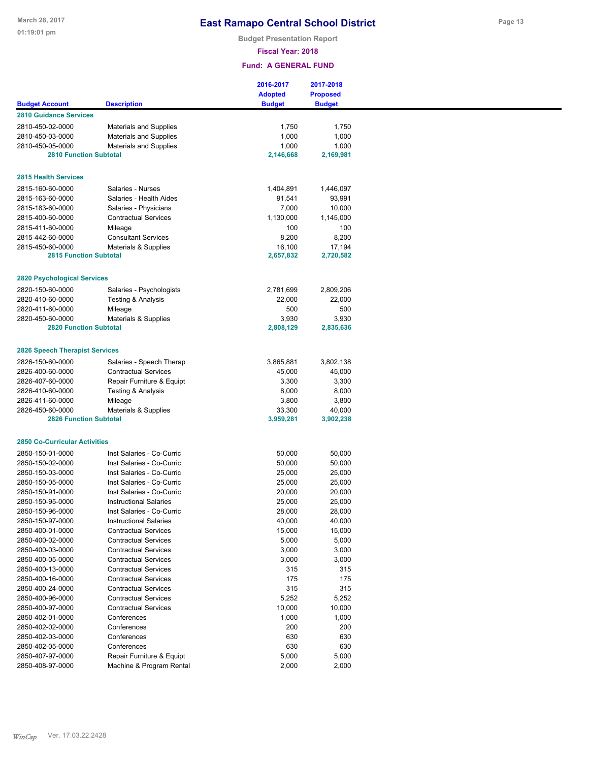**Budget Presentation Report**

**Fiscal Year: 2018**

|                                       |                               | 2016-2017      | 2017-2018       |
|---------------------------------------|-------------------------------|----------------|-----------------|
|                                       |                               | <b>Adopted</b> | <b>Proposed</b> |
| <b>Budget Account</b>                 | <b>Description</b>            | <b>Budget</b>  | <b>Budget</b>   |
| <b>2810 Guidance Services</b>         |                               |                |                 |
| 2810-450-02-0000                      | <b>Materials and Supplies</b> | 1,750          | 1,750           |
| 2810-450-03-0000                      | <b>Materials and Supplies</b> | 1,000          | 1,000           |
| 2810-450-05-0000                      | <b>Materials and Supplies</b> | 1,000          | 1,000           |
| <b>2810 Function Subtotal</b>         |                               | 2,146,668      | 2,169,981       |
|                                       |                               |                |                 |
| <b>2815 Health Services</b>           |                               |                |                 |
| 2815-160-60-0000                      | Salaries - Nurses             | 1,404,891      | 1,446,097       |
| 2815-163-60-0000                      | Salaries - Health Aides       | 91,541         | 93,991          |
| 2815-183-60-0000                      | Salaries - Physicians         | 7,000          | 10,000          |
| 2815-400-60-0000                      | <b>Contractual Services</b>   | 1,130,000      | 1,145,000       |
| 2815-411-60-0000                      | Mileage                       | 100            | 100             |
| 2815-442-60-0000                      | <b>Consultant Services</b>    | 8,200          | 8,200           |
| 2815-450-60-0000                      | Materials & Supplies          | 16,100         | 17,194          |
| <b>2815 Function Subtotal</b>         |                               | 2,657,832      | 2,720,582       |
|                                       |                               |                |                 |
| <b>2820 Psychological Services</b>    |                               |                |                 |
| 2820-150-60-0000                      | Salaries - Psychologists      | 2,781,699      | 2,809,206       |
| 2820-410-60-0000                      | Testing & Analysis            | 22,000         | 22,000          |
| 2820-411-60-0000                      | Mileage                       | 500            | 500             |
| 2820-450-60-0000                      | Materials & Supplies          | 3,930          | 3,930           |
| <b>2820 Function Subtotal</b>         |                               | 2,808,129      | 2,835,636       |
|                                       |                               |                |                 |
| <b>2826 Speech Therapist Services</b> |                               |                |                 |
| 2826-150-60-0000                      | Salaries - Speech Therap      | 3,865,881      | 3,802,138       |
| 2826-400-60-0000                      | <b>Contractual Services</b>   | 45,000         | 45,000          |
| 2826-407-60-0000                      | Repair Furniture & Equipt     | 3,300          | 3,300           |
| 2826-410-60-0000                      | Testing & Analysis            | 8,000          | 8,000           |
| 2826-411-60-0000                      | Mileage                       | 3,800          | 3,800           |
| 2826-450-60-0000                      | Materials & Supplies          | 33,300         | 40,000          |
| <b>2826 Function Subtotal</b>         |                               | 3,959,281      | 3,902,238       |
|                                       |                               |                |                 |
| <b>2850 Co-Curricular Activities</b>  |                               |                |                 |
| 2850-150-01-0000                      | Inst Salaries - Co-Curric     | 50,000         | 50,000          |
| 2850-150-02-0000                      | Inst Salaries - Co-Curric     | 50,000         | 50,000          |
| 2850-150-03-0000                      | Inst Salaries - Co-Curric     | 25,000         | 25,000          |
| 2850-150-05-0000                      | Inst Salaries - Co-Curric     | 25,000         | 25,000          |
| 2850-150-91-0000                      | Inst Salaries - Co-Curric     | 20,000         | 20,000          |
| 2850-150-95-0000                      | <b>Instructional Salaries</b> | 25,000         | 25,000          |
| 2850-150-96-0000                      | Inst Salaries - Co-Curric     | 28,000         | 28,000          |
| 2850-150-97-0000                      | <b>Instructional Salaries</b> | 40,000         | 40,000          |
| 2850-400-01-0000                      | <b>Contractual Services</b>   | 15,000         | 15,000          |
| 2850-400-02-0000                      | <b>Contractual Services</b>   | 5,000          | 5,000           |
| 2850-400-03-0000                      | <b>Contractual Services</b>   | 3,000          | 3,000           |
| 2850-400-05-0000                      | <b>Contractual Services</b>   | 3,000          | 3,000           |
| 2850-400-13-0000                      | <b>Contractual Services</b>   | 315            | 315             |
| 2850-400-16-0000                      | <b>Contractual Services</b>   | 175            | 175             |
| 2850-400-24-0000                      | <b>Contractual Services</b>   | 315            | 315             |
| 2850-400-96-0000                      | <b>Contractual Services</b>   | 5,252          | 5,252           |
| 2850-400-97-0000                      | <b>Contractual Services</b>   |                |                 |
|                                       |                               | 10,000         | 10,000          |
| 2850-402-01-0000                      | Conferences                   | 1,000          | 1,000           |
| 2850-402-02-0000                      | Conferences                   | 200            | 200             |
| 2850-402-03-0000                      | Conferences                   | 630            | 630             |
| 2850-402-05-0000                      | Conferences                   | 630            | 630             |
| 2850-407-97-0000                      | Repair Furniture & Equipt     | 5,000          | 5,000           |
| 2850-408-97-0000                      | Machine & Program Rental      | 2,000          | 2,000           |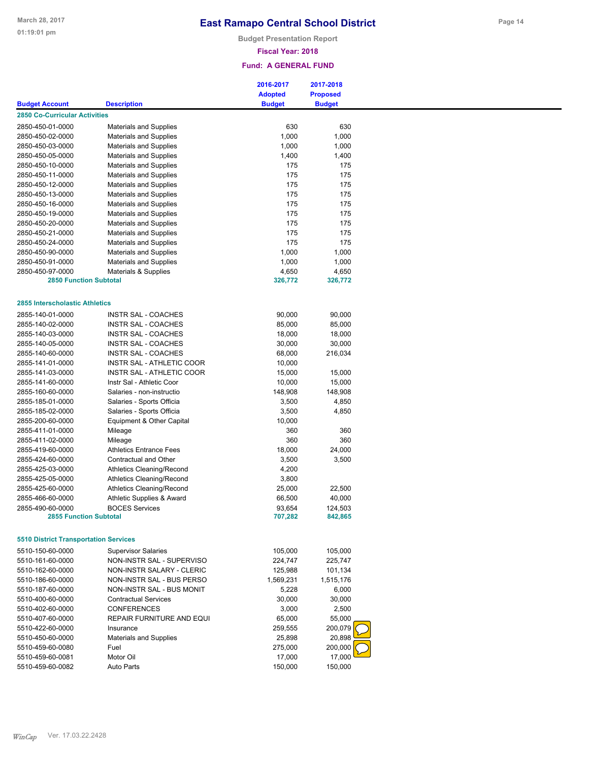**Budget Presentation Report**

### **Fiscal Year: 2018**

|                                              |                                  | 2016-2017<br><b>Adopted</b> | 2017-2018<br><b>Proposed</b> |  |
|----------------------------------------------|----------------------------------|-----------------------------|------------------------------|--|
| <b>Budget Account</b>                        | <b>Description</b>               | <b>Budget</b>               | <b>Budget</b>                |  |
| <b>2850 Co-Curricular Activities</b>         |                                  |                             |                              |  |
| 2850-450-01-0000                             | <b>Materials and Supplies</b>    | 630                         | 630                          |  |
| 2850-450-02-0000                             | <b>Materials and Supplies</b>    | 1,000                       | 1,000                        |  |
| 2850-450-03-0000                             | <b>Materials and Supplies</b>    | 1,000                       | 1,000                        |  |
| 2850-450-05-0000                             | <b>Materials and Supplies</b>    | 1,400                       | 1,400                        |  |
| 2850-450-10-0000                             | <b>Materials and Supplies</b>    | 175                         | 175                          |  |
| 2850-450-11-0000                             | <b>Materials and Supplies</b>    | 175                         | 175                          |  |
| 2850-450-12-0000                             | <b>Materials and Supplies</b>    | 175                         | 175                          |  |
| 2850-450-13-0000                             | <b>Materials and Supplies</b>    | 175                         | 175                          |  |
| 2850-450-16-0000                             | <b>Materials and Supplies</b>    | 175                         | 175                          |  |
| 2850-450-19-0000                             | <b>Materials and Supplies</b>    | 175                         | 175                          |  |
| 2850-450-20-0000                             | <b>Materials and Supplies</b>    | 175                         | 175                          |  |
| 2850-450-21-0000                             | <b>Materials and Supplies</b>    | 175                         | 175                          |  |
| 2850-450-24-0000                             | <b>Materials and Supplies</b>    | 175                         | 175                          |  |
| 2850-450-90-0000                             | <b>Materials and Supplies</b>    | 1,000                       | 1,000                        |  |
| 2850-450-91-0000                             | <b>Materials and Supplies</b>    | 1,000                       | 1,000                        |  |
| 2850-450-97-0000                             |                                  | 4,650                       | 4,650                        |  |
| <b>2850 Function Subtotal</b>                | Materials & Supplies             | 326,772                     | 326,772                      |  |
|                                              |                                  |                             |                              |  |
| 2855 Interscholastic Athletics               |                                  |                             |                              |  |
| 2855-140-01-0000                             | <b>INSTR SAL - COACHES</b>       | 90,000                      | 90,000                       |  |
| 2855-140-02-0000                             | <b>INSTR SAL - COACHES</b>       | 85,000                      | 85,000                       |  |
| 2855-140-03-0000                             | INSTR SAL - COACHES              | 18,000                      | 18,000                       |  |
| 2855-140-05-0000                             | <b>INSTR SAL - COACHES</b>       | 30,000                      | 30,000                       |  |
| 2855-140-60-0000                             | INSTR SAL - COACHES              | 68,000                      | 216,034                      |  |
| 2855-141-01-0000                             | INSTR SAL - ATHLETIC COOR        | 10,000                      |                              |  |
| 2855-141-03-0000                             | <b>INSTR SAL - ATHLETIC COOR</b> | 15,000                      | 15,000                       |  |
| 2855-141-60-0000                             | Instr Sal - Athletic Coor        | 10,000                      | 15,000                       |  |
| 2855-160-60-0000                             | Salaries - non-instructio        | 148,908                     | 148,908                      |  |
| 2855-185-01-0000                             | Salaries - Sports Officia        | 3,500                       | 4,850                        |  |
| 2855-185-02-0000                             | Salaries - Sports Officia        | 3,500                       | 4,850                        |  |
| 2855-200-60-0000                             | Equipment & Other Capital        | 10,000                      |                              |  |
| 2855-411-01-0000                             | Mileage                          | 360                         | 360                          |  |
| 2855-411-02-0000                             | Mileage                          | 360                         | 360                          |  |
| 2855-419-60-0000                             | <b>Athletics Entrance Fees</b>   |                             | 24,000                       |  |
|                                              |                                  | 18,000                      |                              |  |
| 2855-424-60-0000                             | Contractual and Other            | 3,500                       | 3,500                        |  |
| 2855-425-03-0000                             | <b>Athletics Cleaning/Recond</b> | 4,200                       |                              |  |
| 2855-425-05-0000                             | <b>Athletics Cleaning/Recond</b> | 3,800                       |                              |  |
| 2855-425-60-0000                             | <b>Athletics Cleaning/Recond</b> | 25,000                      | 22,500                       |  |
| 2855-466-60-0000                             | Athletic Supplies & Award        | 66,500                      | 40,000                       |  |
| 2855-490-60-0000                             | <b>BOCES Services</b>            | 93,654                      | 124,503                      |  |
| <b>2855 Function Subtotal</b>                |                                  | 707,282                     | 842,865                      |  |
| <b>5510 District Transportation Services</b> |                                  |                             |                              |  |
| 5510-150-60-0000                             | <b>Supervisor Salaries</b>       | 105,000                     | 105,000                      |  |
| 5510-161-60-0000                             | NON-INSTR SAL - SUPERVISO        | 224,747                     | 225,747                      |  |
| 5510-162-60-0000                             | NON-INSTR SALARY - CLERIC        | 125,988                     | 101,134                      |  |
| 5510-186-60-0000                             | NON-INSTR SAL - BUS PERSO        | 1,569,231                   | 1,515,176                    |  |
| 5510-187-60-0000                             | NON-INSTR SAL - BUS MONIT        | 5,228                       | 6,000                        |  |
| 5510-400-60-0000                             | <b>Contractual Services</b>      | 30,000                      | 30,000                       |  |
| 5510-402-60-0000                             | <b>CONFERENCES</b>               | 3,000                       | 2,500                        |  |
| 5510-407-60-0000                             | REPAIR FURNITURE AND EQUI        | 65,000                      | 55,000                       |  |
| 5510-422-60-0000                             | Insurance                        | 259,555                     | 200,079                      |  |
| 5510-450-60-0000                             | <b>Materials and Supplies</b>    | 25,898                      | 20,898                       |  |
| 5510-459-60-0080                             | Fuel                             | 275,000                     | 200,000                      |  |
| 5510-459-60-0081                             | Motor Oil                        | 17,000                      | 17,000                       |  |
| 5510-459-60-0082                             | <b>Auto Parts</b>                | 150,000                     | 150,000                      |  |
|                                              |                                  |                             |                              |  |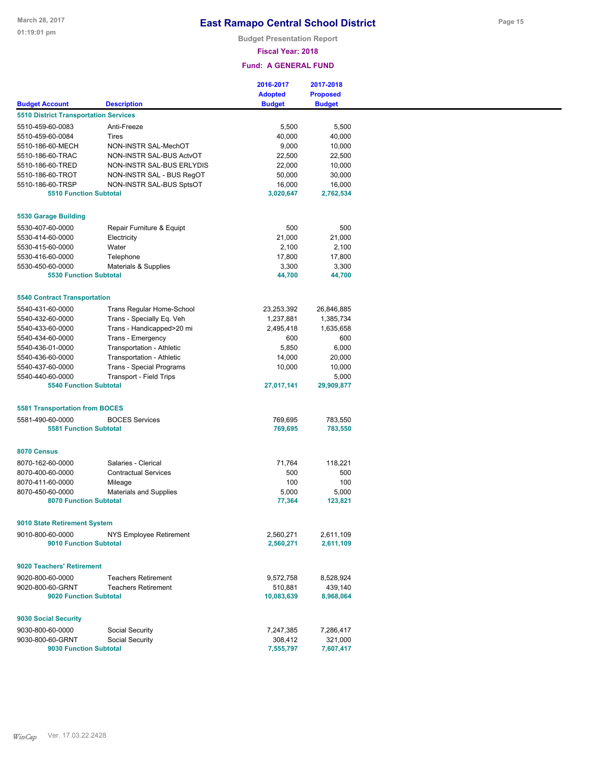**Budget Presentation Report**

### **Fiscal Year: 2018**

### **Fund: A GENERAL FUND**

|                                                   |                                | 2016-2017             | 2017-2018            |
|---------------------------------------------------|--------------------------------|-----------------------|----------------------|
|                                                   |                                | <b>Adopted</b>        | <b>Proposed</b>      |
| <b>Budget Account</b>                             | <b>Description</b>             | <b>Budget</b>         | <b>Budget</b>        |
| <b>5510 District Transportation Services</b>      |                                |                       |                      |
| 5510-459-60-0083                                  | Anti-Freeze                    | 5,500                 | 5,500                |
| 5510-459-60-0084                                  | <b>Tires</b>                   | 40,000                | 40,000               |
| 5510-186-60-MECH                                  | NON-INSTR SAL-MechOT           | 9,000                 | 10,000               |
| 5510-186-60-TRAC                                  | NON-INSTR SAL-BUS ActvOT       | 22,500                | 22,500               |
| 5510-186-60-TRED                                  | NON-INSTR SAL-BUS ERLYDIS      | 22,000                | 10,000               |
| 5510-186-60-TROT                                  | NON-INSTR SAL - BUS RegOT      | 50,000                | 30,000               |
| 5510-186-60-TRSP                                  |                                | 16,000                | 16,000               |
| <b>5510 Function Subtotal</b>                     | NON-INSTR SAL-BUS SptsOT       | 3,020,647             | 2,762,534            |
|                                                   |                                |                       |                      |
| 5530 Garage Building                              |                                |                       |                      |
| 5530-407-60-0000                                  | Repair Furniture & Equipt      | 500                   | 500                  |
| 5530-414-60-0000                                  | Electricity                    | 21,000                | 21,000               |
| 5530-415-60-0000                                  | Water                          | 2,100                 | 2,100                |
| 5530-416-60-0000                                  | Telephone                      | 17,800                | 17,800               |
|                                                   |                                |                       |                      |
| 5530-450-60-0000<br><b>5530 Function Subtotal</b> | Materials & Supplies           | 3,300                 | 3,300                |
|                                                   |                                | 44,700                | 44,700               |
| <b>5540 Contract Transportation</b>               |                                |                       |                      |
| 5540-431-60-0000                                  | Trans Regular Home-School      | 23,253,392            | 26,846,885           |
| 5540-432-60-0000                                  | Trans - Specially Eq. Veh      | 1,237,881             | 1,385,734            |
| 5540-433-60-0000                                  | Trans - Handicapped>20 mi      | 2,495,418             | 1,635,658            |
| 5540-434-60-0000                                  | Trans - Emergency              | 600                   | 600                  |
|                                                   |                                |                       |                      |
| 5540-436-01-0000                                  | Transportation - Athletic      | 5,850                 | 6,000                |
| 5540-436-60-0000                                  | Transportation - Athletic      | 14,000                | 20,000               |
| 5540-437-60-0000                                  | Trans - Special Programs       | 10,000                | 10,000               |
| 5540-440-60-0000                                  | <b>Transport - Field Trips</b> |                       | 5,000                |
| <b>5540 Function Subtotal</b>                     |                                | 27,017,141            | 29,909,877           |
| <b>5581 Transportation from BOCES</b>             |                                |                       |                      |
| 5581-490-60-0000                                  | <b>BOCES Services</b>          | 769,695               | 783,550              |
| <b>5581 Function Subtotal</b>                     |                                | 769,695               | 783,550              |
|                                                   |                                |                       |                      |
| 8070 Census                                       |                                |                       |                      |
| 8070-162-60-0000                                  | Salaries - Clerical            | 71,764                | 118,221              |
| 8070-400-60-0000                                  | <b>Contractual Services</b>    | 500                   | 500                  |
| 8070-411-60-0000                                  | Mileage                        | 100                   | 100                  |
| 8070-450-60-0000                                  | <b>Materials and Supplies</b>  | 5,000                 | 5,000                |
| <b>8070 Function Subtotal</b>                     |                                | 77,364                | 123,821              |
|                                                   |                                |                       |                      |
| 9010 State Retirement System                      |                                |                       |                      |
| 9010-800-60-0000                                  | NYS Employee Retirement        | 2,560,271             | 2,611,109            |
| 9010 Function Subtotal                            |                                | 2,560,271             | 2,611,109            |
| 9020 Teachers' Retirement                         |                                |                       |                      |
| 9020-800-60-0000                                  | <b>Teachers Retirement</b>     | 9,572,758             | 8,528,924            |
|                                                   |                                |                       |                      |
| 9020-800-60-GRNT<br>9020 Function Subtotal        | <b>Teachers Retirement</b>     | 510,881<br>10,083,639 | 439,140<br>8,968,064 |
|                                                   |                                |                       |                      |
| 9030 Social Security                              |                                |                       |                      |
| 9030-800-60-0000                                  | Social Security                | 7,247,385             | 7,286,417            |
| 9030-800-60-GRNT                                  | Social Security                | 308,412               | 321,000              |
| 9030 Function Subtotal                            |                                | 7,555,797             | 7,607,417            |

**Page 15**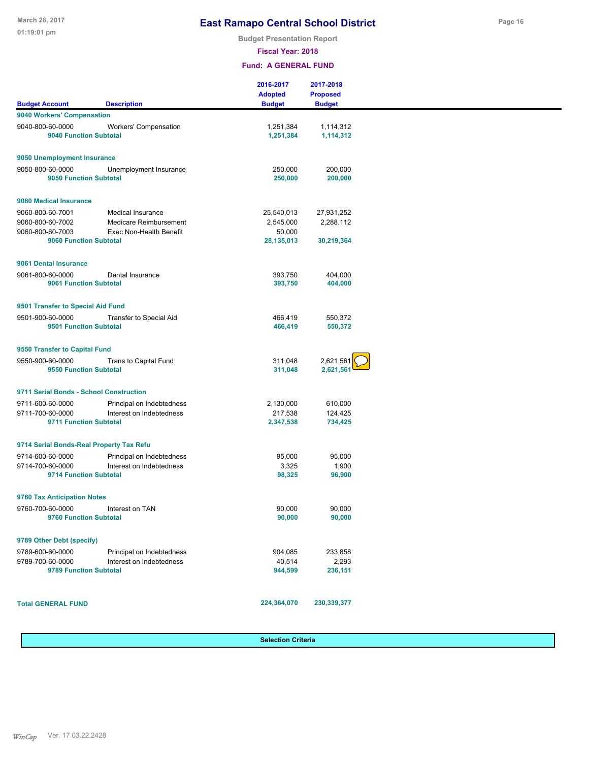**Budget Presentation Report**

**Fiscal Year: 2018**

#### **Fund: A GENERAL FUND**

|                                            |                              | 2016-2017<br><b>Adopted</b> | 2017-2018<br><b>Proposed</b> |
|--------------------------------------------|------------------------------|-----------------------------|------------------------------|
| <b>Budget Account</b>                      | <b>Description</b>           | <b>Budget</b>               | <b>Budget</b>                |
| 9040 Workers' Compensation                 |                              |                             |                              |
| 9040-800-60-0000<br>9040 Function Subtotal | <b>Workers' Compensation</b> | 1,251,384<br>1,251,384      | 1,114,312<br>1,114,312       |
| 9050 Unemployment Insurance                |                              |                             |                              |
| 9050-800-60-0000<br>9050 Function Subtotal | Unemployment Insurance       | 250,000<br>250,000          | 200,000<br>200,000           |
| 9060 Medical Insurance                     |                              |                             |                              |
| 9060-800-60-7001                           | Medical Insurance            | 25,540,013                  | 27,931,252                   |
| 9060-800-60-7002                           | Medicare Reimbursement       | 2,545,000                   | 2,288,112                    |
| 9060-800-60-7003<br>9060 Function Subtotal | Exec Non-Health Benefit      | 50,000<br>28,135,013        | 30,219,364                   |
| 9061 Dental Insurance                      |                              |                             |                              |
| 9061-800-60-0000<br>9061 Function Subtotal | Dental Insurance             | 393,750<br>393,750          | 404,000<br>404,000           |
| 9501 Transfer to Special Aid Fund          |                              |                             |                              |
| 9501-900-60-0000<br>9501 Function Subtotal | Transfer to Special Aid      | 466,419<br>466,419          | 550,372<br>550,372           |
| 9550 Transfer to Capital Fund              |                              |                             |                              |
| 9550-900-60-0000<br>9550 Function Subtotal | Trans to Capital Fund        | 311,048<br>311,048          | 2,621,561<br>2,621,561       |
| 9711 Serial Bonds - School Construction    |                              |                             |                              |
| 9711-600-60-0000                           | Principal on Indebtedness    | 2,130,000                   | 610,000                      |
| 9711-700-60-0000                           | Interest on Indebtedness     | 217,538                     | 124,425                      |
| 9711 Function Subtotal                     |                              | 2,347,538                   | 734,425                      |
| 9714 Serial Bonds-Real Property Tax Refu   |                              |                             |                              |
| 9714-600-60-0000                           | Principal on Indebtedness    | 95,000                      | 95,000                       |
| 9714-700-60-0000                           | Interest on Indebtedness     | 3,325                       | 1,900                        |
| 9714 Function Subtotal                     |                              | 98,325                      | 96,900                       |
| 9760 Tax Anticipation Notes                |                              |                             |                              |
| 9760-700-60-0000<br>9760 Function Subtotal | Interest on TAN              | 90,000<br>90,000            | 90,000<br>90,000             |
|                                            |                              |                             |                              |
| 9789 Other Debt (specify)                  |                              |                             |                              |
| 9789-600-60-0000                           | Principal on Indebtedness    | 904,085                     | 233,858                      |
| 9789-700-60-0000<br>9789 Function Subtotal | Interest on Indebtedness     | 40,514<br>944,599           | 2,293<br>236,151             |
| <b>Total GENERAL FUND</b>                  |                              | 224,364,070                 | 230,339,377                  |
|                                            |                              |                             |                              |

**Selection Criteria**